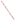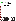United States Office of Research and EPA/600/R-97/147 Environmental Protection Development March 1998 Agency **Mashington, D.C. 20460** 



Field Portable X-ray Fluorescence Analyzer

Scitec MAP Spectrum Analyzer





055CMB98

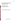# Environmental Technology Verification Report

Field Portable X-ray Fluorescence Analyzer

Scitec MAP Spectrum Analyzer

U.S. Environmental Protection Agency Office of Research and Development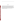# **Notice**

The information in this document has been funded wholly or in part by the U.S. Environmental Protection Agency (EPA) under Contract No. 68-CO-0047 to PRC Environmental Management, Inc. This work supports the Superfund Innovative Technology Evaluation Program administered by the National Risk Management Research Laboratory, Cincinnati, Ohio. This demonstration was conducted under the Monitoring and Measurement Technologies Program which is managed by the National Exposure Research Laboratory–Environmental Sciences Division, Las Vegas, Nevada. It has been subjected to the Agency's peer and administrative review, and has been approved for publication as an EPA document. Mention of corporation names, trade names, or commercial products does not constitute endorsement or recommendation for use of specific products.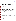**UNITED STATES ENVIRONMENTAL PROTECTION AGENCY**  Office of Research and Development Washington, D.C. 20460



### **ENVIRONMENTAL TECHNOLOGY VERIFICATION PROGRAM VERIFICATION STATEMENT**

|                             | TECHNOLOGY TYPE: FIELD PORTABLE X-RAY FLUORESCENCE ANALYZER            |
|-----------------------------|------------------------------------------------------------------------|
| APPLICATION:                | <b>MEASUREMENT OF METALS IN SOIL</b>                                   |
|                             | TECHNOLOGY NAME: MAP SPECTRUM ANALYZER                                 |
| COMPANY:<br><b>ADDRESS:</b> | <b>SCITEC CORPORATION</b><br>415 N. QUAY<br><b>KENNEWICK, WA 99336</b> |
| PHONE:                      | (800) 466-5323                                                         |

The U.S. Environmental Protection Agency (EPA) has created a program to facilitate the deployment of innovative technologies through performance verification and information dissemination. The goal of the Environmental Technology Verification (ETV) Program is to further environmental protection by substantially accelerating the acceptance and use of improved and more cost-effective technologies. The ETV Program is intended to assist and inform those involved in the design, distribution, permitting, and purchase of environmental technologies. This document summarizes the results of a demonstration of the Scitec MAP Spectrum Analyzer.

# **PROGRAM OPERATION**

<sup>2</sup>4L PROTE

The EPA, in partnership with recognized testing organizations, objectively and systematically evaluates the performance of innovative technologies. Together, with the full participation of the technology developer, they develop plans, conduct tests, collect and analyze data, and report findings. The evaluations are conducted according to a rigorous demonstration plan and established protocols for quality assurance. The EPA's National Exposure Research Laboratory, which conducts demonstrations of field characterization and monitoring technologies, selected PRC Environmental Management, Inc., as the testing organization for the performance verification of field portable X-ray fluorescence (FPXRF) analyzers.

### **DEMONSTRATION DESCRIPTION**

In April 1995, the performance of seven FPXRF analyzers was determined under field conditions. Each analyzer was independently evaluated by comparing field analysis results to those obtained using approved reference methods. Standard reference materials (SRM) and performance evaluation (PE) samples also were used to independently assess the accuracy and comparability of each instrument.

The demonstration was designed to detect and measure a series of inorganic analytes in soil. The primary target analytes were arsenic, barium, chromium, copper, lead, and zinc; nickel, iron, cadmium, and antimony were secondary analytes. The demonstration sites were located in Iowa (the RV Hopkins site) and Washington (the ASARCO site). These sites were chosen because they exhibit a wide range of concentrations for most of the target metals and are located in different climatological regions of the United States; combined, they exhibit three distinct soil types: sand, clay, and loam. The conditions at these sites are representative of those environments under which the technology would be expected to operate. Details of the demonstration, including a data summary and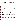discussion of results, may be found in the report entitled "Environmental Technology Verification Report, Field Portable X-ray Fluorescence Analyzer, Scitec MAP Spectrum Analyzer." The EPA document number for this report is EPA/600/R-97/147.

The EPA SW-846 Method 6200 was tested and validated using the data derived from this demonstration. This method may be used to support the general application of FPXRF for environmental analysis.

### **TECHNOLOGY DESCRIPTION**

These analyzers operate on the principle of energy dispersive X-ray fluorescence spectroscopy where the characteristic energy components of the excited X-ray spectrum are analyzed directly as an energy proportional response in an X-ray detector. Energy dispersion affords a highly efficient, full-spectrum measurement which enables the use of low intensity excitation sources (such as radioisotopes) and compact battery-powered, fieldportable electronics. The FPXRF instruments are designed to provide rapid analysis of metals in soil. This information allows investigation and remediation decisions to be made on-site and reduces the number of samples that need to be submitted for laboratory analysis. In the operation of these instruments, the user must be aware that FPXRF analyzers do not respond well to chromium and that detection limits may be 5 to 10 times greater than conventional laboratory methods. As with all field collection programs, a portion of the samples should be sent to a laboratory for confirmatory analyses.

The MAP Spectrum Analyzer was originally designed to detect lead on painted surfaces using a cobalt-57 excitation source. It is now marketed for detecting lead and other metals in soil, especially when equipped with a cadmium-109 source. Two other sources, americum-241 and cobalt-57, are also available. The MAP Spectrum Analyzer was empirically calibrated by the developer prior to the demonstration using site-specific calibration standards. The instrument designed to be portable, is composed of two parts, the scanner which weighs 3.5 pounds and an 11 pound control console. In this demonstration, the MAP Spectrum Analyzer was configured to report four of the primary target analytes: arsenic, copper, lead, and zinc. It was operated only in the *in situ* mode. At the time of the demonstration, the cost of the MAP Spectrum Analyzer with the cadmium-109 source was \$32,000, or it could be leased for \$4,675 per month.

# **VERIFICATION OF PERFORMANCE**

The performance characteristics of the MAP Spectrum Analyzer include the following:

- **Detection limits:** Precision-based detection limits were determined by collecting 10 replicate measurements on site-specific soil samples with metals concentrations 2 to 5 times the expected MDLs. Results ranged from 25 milligrams per kilogram (mg/kg) for zinc to 525 mg/kg for copper. Corresponding values were 225 mg/kg for arsenic and 165 mg/kg for lead.
- **Throughput:** Average throughput was 9 12 samples per hour using a live count time of 240 seconds. This rate only represents the analysis time since different personnel were used to prepare the samples.
- **Drift:** Based on a periodic analysis of a calibration check sample, drift was the greatest for copper and least for zinc. The drift values for the mean recovery of copper varied from -25 to +35 percent; arsenic was  $\pm 15$ percent; lead was  $-15$  to  $+25$  percent; and zinc was  $\pm 5$  percent.
- **Completeness:** The MAP Spectrum Analyzer produced results for 628 of the 630 *in situ* samples for a completeness of 99.7 percent, above the demonstration objective of 95 percent.
- **• Blank results:** Three of the four reported analytes were not detected above the field-based method detection limits in the blanks. Anomalous readings were reported for copper but were considered to be an artifact of the blank measurement process.
- **Precision:** The goal of the demonstration was to achieve relative standard deviations (RSD) of less than 20 percent at analyte concentrations of 5 to 10 times the method detection limits. The RSD values for arsenic, lead, and zinc were less than 9 percent RSD. Copper had an RSD of less than 15 percent.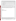- **Accuracy:** Accuracy was assessed by using site-specific soil PE samples and soil SRMs. The data showed that 5 of 17 results (29.4 percent) of the analytes in these samples had recoveries within a quantitative acceptance range of 80 - 120 percent. This analyzer showed the greatest accuracy for lead with 50 percent of the samples within the 80 - 120 percent recovery range. The instrument underestimated arsenic and copper in the site-specific PE samples, especially at low concentrations. Recovery values for zinc were inconsistent but overall were underestimated.
- **Comparability:** This demonstration showed that the MAP Spectrum Analyzer produced data that exhibited a  $log_{10}$ -log<sub>10</sub> linear correlation to the reference data. The coefficient of determination ( $r^2$ ) which is a measure of the degree of correlation between the reference and field data was 0.85 for lead, 0.80 for copper, 0.76 for arsenic, and 0.67 for zinc.
- **Data quality levels:** Using the demonstration derived precision RSD results and the coefficient of determination as the primary qualifiers, the MAP Spectrum Analyzer produced definitive level data for lead; data of quantitative screening level for copper and arsenic; and data of qualitative screening level for zinc.

The results of the demonstration show that the Scitec MAP Spectrum Analyzer can provide useful, cost-effective data for environmental problem-solving and decision-making. Undoubtedly, it will be employed in a variety of applications, ranging from serving as a complement to data generated in a fixed analytical laboratory to generating data that will stand alone in the decision-making process. As with any technology selection, the user must determine what is appropriate for the application and the project data quality objectives.

Gary J. Foley, Ph.D. **Director** National Exposure Research Laboratory Office of Research and Development

**NOTICE:** EPA verifications are based on an evaluation of technology performance under specific, predetermined criteria and the appropriate quality assurance procedures. EPA makes no expressed or implied warranties as to the performance of the technology and does not certify that a technology will always, under circumstances other than those tested, operate at the levels verified. The end user is solely responsible for complying with any and all applicable Federal, State, and Local requirements.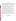# **Foreword**

The U.S. Environmental Protection Agency (EPA) is charged by Congress with protecting the Nation's land, air, and water resources. Under a mandate of national environmental laws, the Agency strives to formulate and implement actions leading to a compatible balance between human activities and the ability of natural systems to support and nurture life. To meet this mandate, the EPA's Office of Research and Development (ORD) provides data and science support that can be used to solve environmental problems and to build the scientific knowledge base needed to manage our ecological resources wisely, to understand how pollutants affect our health, and to prevent or reduce environmental risks.

The National Exposure Research Laboratory (NERL) is the Agency's center for the investigation of technical and management approaches for identifying and quantifying risks to human health and the environment. Goals of the Laboratory's research program are to develop and evaluate technologies for the characterization and monitoring of air, soil, and water; support regulatory and policy decisions; and provide the science support needed to ensure effective implementation of environmental regulations and strategies.

The EPA's Superfund Innovative Technology Evaluation (SITE) Program evaluates technologies for the characterization and remediation of contaminated Superfund and Resource Conservation and Recovery Act (RCRA) corrective action sites. The SITE Program was created to provide reliable cost and performance data to speed the acceptance of innovative characterization and monitoring technologies.

Effective measurement and monitoring technologies are needed to assess the degree of contamination at a site, to provide data which can be used to determine the risk to public health or the environment, to supply the necessary cost and performance data to select the most appropriate technology, and to monitor the success or failure of a remediation process. One component of the SITE Program, the Monitoring and Measurement Technologies Program, demonstrates and evaluates innovative technologies to meet these needs.

Candidate technologies can originate from within the federal government or from the private sector. Through the SITE Program, developers are given the opportunity to conduct a rigorous demonstration of their technology's performance under realistic field conditions. By completing the evaluation and distributing the results, the Agency establishes a baseline for acceptance and use of these technologies. The Monitoring and Measurement Technologies Program is managed by ORD's Environmental Sciences Division in Las Vegas, Nevada.

> Gary J. Foley, Ph.D. Director National Exposure Research Laboratory Office of Research and Development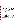# **Abstract**

In April 1995, the U.S. Environmental Protection Agency (EPA) conducted a demonstration of field portable X-ray fluorescence (FPXRF) analyzers. The primary objectives of this demonstration were (1) to determine how well FPXRF analyzers perform in comparison to standard reference methods, (2) to identify the effects of sample matrix variations on the performance of FPXRF, (3) to determine the logistical and economic resources needed to operate FPXRF analyzers, and (4) to test and validate an SW-846 draft method for FPXRF analysis. The demonstration design was subjected to extensive review and comment by the EPA's National Exposure Research Laboratory, EPA Regional and Headquarters Superfund technical staff, the EPA's Office of Solid Waste–Methods Section, and the technology developers.

Two sites were used for this demonstration: the RV Hopkins site and the ASARCO Tacoma Smelter site (ASARCO). RV Hopkins is an active steel drum recycling facility and a former battery recycling operation. It is located in Davenport, Iowa. The ASARCO site is a former copper and lead smelter and is located in Tacoma, Washington. The test samples analyzed during this demonstration were evenly distributed between three distinct soil textures: sand, loam, and clay. The reference methods used to evaluate the comparability of data were EPA SW-846 Methods 3050A and 6010A, "Acid Digestion of Sediments, Sludges, and Soils" and "Inductively Coupled Plasma-Atomic Emission Spectroscopy," respectively.

The FPXRF analyzers tested in this demonstration were designed to provide rapid, real-time analysis of metals concentrations in soil samples. This information allows investigation and remediation decisions to be made onsite more efficiently and can reduce the number of samples that need to be submitted for confirmatory analysis. Of the seven commercially available analyzers evaluated, one is manufactured by Niton Corporation (the XL Spectrum Analyzer); two are manufactured by TN Spectrace (the TN 9000 and TN Pb Analyzer); two are manufactured by Metorex Inc. (the X-MET 920-P Analyzer and the X-MET 920-MP Analyzer); one is manufactured by HNU Systems, Inc. (the SEFA-P Analyzer); and one is manufactured by Scitec Corporation (the MAP Spectrum Analyzer). The X-MET 940, a prototype FPXRF analyzer developed by Metorex, was given special consideration and replaced the X-MET 920-P for a portion of the demonstration. This environmental technology verification report (ETVR) presents information regarding the performance of the Scitec MAP Spectrum Analyzer. Separate ETVRs have been published for the other analyzers demonstrated.

Quantitative data were provided by the MAP Spectrum Analyzer on a real-time basis. This FPXRF analyzer was configured to report arsenic, copper, lead, and zinc. The analyzer used a count time of 240 live-seconds, which resulted in a throughput of 9 to 12 samples per hour. The analyzer used one radioactive source, cadmium-109 coupled to a solid-state silicon detector. The MAP Spectrum Analyzer provided definitive level data (equivalent to reference data) for lead; quantitative screening level data (not equivalent to reference data, but correctable by collecting confirmatory samples) for copper and arsenic; and qualitative screening level data (identifies presence or absence only) for zinc. The analyzer exhibited precision at 5 to 10 times the method detection limits of less than 15 percent relative standard deviation (RSD) for all four of the reported analytes. The analyzer generally exhibited a precision similar to the reference method.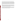The analyzer's quantitative results were based on an empirical calibration using site-specific calibration samples. Field-based method detection limits (MDL) for this analyzer were slightly lower than the precisionbased MDLs for arsenic, copper, and lead, but much higher for zinc. Data correction had limited effect on the analyzer's average relative bias and accuracy. Except for copper, the precision-based and field-based MDLs were below the developer's projected MDL of 250 mg/kg. The site variable did not affect data comparability. The soil variable showed a slight trend of poorer comparability in loam soils. This study showed that the MAP Spectrum Analyzer produced data that exhibited  $log_{10}$ -log<sub>10</sub> linear correlation for all four of the reported analytes.

This demonstration found that the MAP Spectrum Analyzer was simple to operate in the field. This FPXRF analyzer is used only in the *in situ* mode which means it analyzed samples in minimally disturbed soil. The operator required no specialized training or experience to operate the analyzer. Ownership and operation of this instrument may require specific licensing by state nuclear regulatory agencies. There are special radiation safety training requirements and costs associated with this type of licensing.

The MAP Spectrum Analyzer can provide rapid, real-time analysis of the metals content of soil samples at hazardous waste sites. The analyzer can quickly distinguish contaminated areas from noncontaminated areas, allowing investigation and remediation decisions to be made more efficiently on-site which may reduce the number of samples that need to be submitted for confirmatory analysis.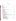# **Table of Contents**

| J      |  |
|--------|--|
| I<br>I |  |
| I      |  |
| l      |  |
|        |  |
| Ī      |  |
|        |  |
|        |  |
|        |  |
|        |  |
| Г      |  |
|        |  |
|        |  |
|        |  |

#### **Section Page 2018**

| 22<br>Reference Laboratory Sample Receipt, Handling, and Storage Procedures<br>24<br>28<br>28<br>28<br>29 |
|-----------------------------------------------------------------------------------------------------------|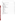# **Section**

# Page

|  | 31<br>33<br>33<br>36<br>37                                                                                           |
|--|----------------------------------------------------------------------------------------------------------------------|
|  | 40<br>40<br>41<br>42<br>42<br>44<br>45<br>45<br>45<br>47<br>47<br>49<br>49<br>50<br>50<br>50<br>51<br>51<br>51<br>53 |
|  |                                                                                                                      |
|  |                                                                                                                      |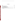# **List of Figures**

# **Figure Page 2018**

| 4-2 Critical Zone for the Determination of a Field-based Method Detection Limit for Zinc 49 |  |
|---------------------------------------------------------------------------------------------|--|
|                                                                                             |  |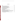# **List of Tables**

**Table Page** 

| 3-3 Reference Laboratory Accuracy Data for Target Analytes  32                           |    |
|------------------------------------------------------------------------------------------|----|
|                                                                                          |    |
|                                                                                          |    |
|                                                                                          |    |
|                                                                                          |    |
|                                                                                          |    |
|                                                                                          |    |
| 4-5 Accuracy Summary of Site-Specific PE and SRM Results  54                             |    |
|                                                                                          |    |
| 4-7 Regression Parameters for the Sample Preparation Variable Sorted by Soil Texture  57 |    |
| 4-8 Regression Parameters for the Sample Preparation Variable Sorted by Site Name        | 58 |
|                                                                                          |    |
|                                                                                          |    |
| 5-2 Effects of Data Correction on FPXRF Comparability to Reference Data for All          |    |
|                                                                                          |    |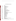# **List of Abbreviations and Acronyms**

| α                 | alpha                                                                 |
|-------------------|-----------------------------------------------------------------------|
| β                 | beta                                                                  |
| Am $^{241}$       | americium-241                                                         |
| <b>CCB</b>        | continuing calibration blank                                          |
| CCV               | continuing calibration verification                                   |
| Cd <sup>109</sup> | cadmium-109                                                           |
| СI                | confidence interval                                                   |
| <b>CLP</b>        | <b>Contract Laboratory Program</b>                                    |
| cm                | centimeter                                                            |
| $\text{cm}^2$     | centimeter squared                                                    |
| $\text{cm}^3$     | cubic centimeter                                                      |
| Co <sup>57</sup>  | cobalt-57                                                             |
| <b>CRM</b>        | certified reference material                                          |
| DC                | direct current                                                        |
| <b>EPA</b>        | <b>Environmental Protection Agency</b>                                |
| <b>ERA</b>        | <b>Environmental Resource Associates</b>                              |
| <b>ETVR</b>       | environmental technology verification report                          |
| eV                | electron volt                                                         |
| <b>FPXRF</b>      | field portable X-ray fluorescence                                     |
| <b>ICAL</b>       | initial calibration                                                   |
| <b>ICB</b>        | initial calibration blank                                             |
| <b>ICP-AES</b>    | inductively coupled plasma-atomic emission spectroscopy               |
| <b>ICS</b>        | interference check standard                                           |
| <b>ICV</b>        | initial calibration verification                                      |
| <b>IDL</b>        | instrument detection limit                                            |
| <b>IDW</b>        | investigation-derived waste                                           |
| keV               | kiloelectron volt                                                     |
| <b>LCD</b>        | liquid crystal display                                                |
| LCS               | laboratory control samples                                            |
| $log_{10}$        | base 10 logarithm                                                     |
| LRL               | lower reporting limit                                                 |
| <b>MCA</b>        | multichannel analyzer                                                 |
| mCi               | millicurie                                                            |
| <b>MDL</b>        | method detection limit                                                |
| mg/kg             | milligram per kilogram                                                |
| mL                | milliliter                                                            |
| mm                | millimeter                                                            |
| <b>MMTP</b>       | Monitoring and Measurement Technologies Program                       |
| mrem/hr           | millirems per hour                                                    |
| <b>MRI</b>        | Midwest Research Institute                                            |
| <b>NERL-ESD</b>   | National Exposure Research Laboratory-Environmental Sciences Division |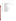| <b>NIST</b><br><b>OSW</b> | National Institute of Standards and Technology<br>Office of Solid Waste  |
|---------------------------|--------------------------------------------------------------------------|
| <b>PAL</b>                | performance acceptance limit                                             |
| <b>PARCC</b>              | precision, accuracy, representativeness, completeness, and comparability |
| PC                        | personal computer                                                        |
| <b>PE</b>                 | performance evaluation                                                   |
| PI                        | prediction interval                                                      |
| ppm                       | part per million                                                         |
| <b>PRC</b>                | PRC Environmental Management, Inc.                                       |
| QA                        | quality assurance                                                        |
| QAPP                      | quality assurance project plan                                           |
| QC                        | quality control                                                          |
| r                         | correlation coefficient                                                  |
| $r^2$                     | coefficient of determination                                             |
| <b>RCRA</b>               | <b>Resource Conservation and Recovery Act</b>                            |
| <b>RPD</b>                | relative percent difference                                              |
| <b>RSD</b>                | relative standard deviation                                              |
| <b>RTC</b>                | <b>Resource Technology Corporation</b>                                   |
| SD                        | standard deviation                                                       |
| <b>SITE</b>               | Superfund Innovative Technology Evaluation                               |
| <b>SOP</b>                | standard operating procedure                                             |
| <b>SRM</b>                | standard reference material                                              |
| <b>SSCS</b>               | site-specific calibration sample                                         |
| ТC                        | toxicity characteristic                                                  |
| <b>USGS</b>               | <b>United States Geological Survey</b>                                   |
| <b>XRF</b>                | X-ray fluorescence                                                       |
|                           |                                                                          |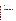# **Acknowledgments**

The U.S. Environmental Protection Agency (EPA) wishes to acknowledge the support of all those who helped plan and conduct this demonstration, interpret data, and prepare this report. In particular, for demonstration site access and relevant background information, Tom Aldridge (ASARCO) and Harold Abdo (RV Hopkins); for turnkey implementation of this demonstration, Eric Hess, Patrick Splichal, and Harry Ellis (PRC Environmental Management, Inc.); for editorial and publication support, Suzanne Ladish, Anne Witebsky, Karen Bollinger, and Ed Hubert (PRC Environmental Management, Inc.); for technical and peer review, Paula Hirtz, David Farnam, and Alan Byrnes (PRC Environmental Management, Inc.); for analyzer operation, Frank Bryant (PRC Environmental Management, Inc.); for sample preparation, Scott Schulte, Keith Brown, and Curt Enos (PRC Environmental Management, Inc.); for EPA project management, Stephen Billets, National Exposure Research Laboratory–Environmental Sciences Division; and for peer review, Sam Goforth (independent consultant), John Wallace (Wallace Technologies), and Shirley Wasson (National Risk Management Research Laboratory). In addition, we gratefully acknowledge the participation of Oliver Fordham, EPA Office of Solid Waste; Piper Peterson, EPA Region 10; Brian Mitchell, EPA Region 7; and Kevin Dorow, Scitec Corporation.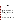# **Section 1 Executive Summary**

In April 1995, the U.S. Environmental Protection Agency (EPA) sponsored a demonstration of field portable X-ray fluorescence (FPXRF) analyzers. The primary objectives of this demonstration were to evaluate these analyzers for: (1) their analytical performance relative to standard analytical methods, (2) the influence of sample matrix variations (texture, moisture, heterogeneity, and chemical composition) on performance, (3) the logistical and economic resources needed to operate these technologies in the field, and (4) to test and validate an SW-846 draft method for FPXRF analysis. Secondary objectives for this demonstration were to evaluate FPXRF analyzers for their reliability, ruggedness, cost, range of usefulness, and ease of operation.

This demonstration was intended to provide users with a reference measure of performance and to act as a guide for the application of this technology. In this demonstration, the reference methods for evaluating the comparability of data were SW-846 Methods 3050A and 6010A, "Acid Digestion of Sediments, Sludges, and Soils" and "Inductively Coupled Plasma-Atomic Emission Spectroscopy (ICP-AES)," respectively.

The EPA requested that PRC Environmental Management, Inc. (PRC) plan, implement, and report on a demonstration of FPXRF analyzers. This demonstration was conducted under the EPA's Superfund Innovative Technology Evaluation (SITE) Program and managed by the National Exposure Research Laboratory-Environmental Sciences Division (NERL-ESD) under the Monitoring and Measurement Technologies Program (MMTP), Las Vegas, Nevada.

The FPXRF analyzers tested in this demonstration were designed to provide rapid, real-time analysis of metals concentrations in soil samples. This information will allow investigation and remediation decisions to be made on-site more efficiently, and it should reduce the number of samples that need to be submitted for confirmatory analysis. Of the seven commercially available analyzers evaluated, one is manufactured by Niton Corporation (the Niton XL Spectrum Analyzer); two are manufactured by Metorex Inc. (the X-MET 920-P Analyzer and the X-MET 920-MP Analyzer); two are manufactured by TN Spectrace (the TN 9000 and the TN Pb Analyzer); one is manufactured by HNU Systems, Inc. (the SEFA-P Analyzer); and one is manufactured by Scitec Corporation (the MAP Spectrum Analyzer). The X-MET 940, a prototype FPXRF analyzer developed by Metorex, was given special consideration and replaced the X-MET 920-P for a portion of the demonstration. This environmental technology verification report (ETVR) presents information regarding the Scitec MAP Spectrum Analyzer. Separate ETVRs will be published for the other analyzers that were demonstrated.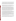The target analytes for this demonstration were selected from the Resource Conservation and Recovery Act's (RCRA) Toxicity Characteristic (TC) list, analytes known to have a high aquatic toxicity and likely to produce interferences for the FPXRF analyzers. The primary analytes for these comparisons were arsenic, barium, chromium, copper, lead, and zinc; nickel, iron, cadmium, and antimony were secondary analytes. Because of design considerations, not all of these analytes were determined by each instrument. For this demonstration, the MAP Spectrum Analyzer was configured to report lead, copper, arsenic, and zinc.

To demonstrate these analyzers, hazardous waste sites in Iowa (the RV Hopkins site) and in Washington (the ASARCO site) were selected. The sites were chosen because they exhibit a wide range of concentrations for most of the target analytes, are located in different climatological regions of the United States, and combined they exhibit three distinct soil textures: sand, loam, and clay.

This demonstration found that the MAP Spectrum Analyzer was simple to operate in the field. It was designed to be used in the *in situ* mode; that is to analyze samples in minimally disturbed soil. The developer provided a training course for the technology operator which was similar to that provided to a purchaser of the equipment. The training encompassed enough FPXRF theory and hands-on use to allow the operator to manipulate the data collection software, calibrate the analyzer, and adjust instrument parameters such as count times and target analytes. In addition, the developer provided radiation safety training, required for the use of this analyzer. A license was obtained from the State of Kansas, which has reciprocal licensing agreements with States of Iowa and Washington. The Scitec technical staff provided accessible and timely field support. The analyzer itself was portable and was operated continuously more than a 10 to 12-hour work day with appropriate battery changes. The rainy weather conditions encountered during the demonstration caused no operational downtime for the analyzer.

The analyzer used one radioactive source, cadmium-109, coupled to a solid-state silicon detector. The count times used in this demonstration (240 live-seconds) resulted in a sample throughput of 9 - 12 samples per hour. The MAP Spectrum Analyzer produced data meeting definitive level criteria (equivalent to reference data) for lead; data meeting quantitative screening level criteria (not equivalent to reference data, but correctable with confirmatory sample analysis) for copper and arsenic; and data meeting qualitative screening level criteria (identifies the presence or absence of contamination) for zinc.

The analyzer generally exhibited precision similar to that of the reference methods. Field-based method detection limits (MDL) for this analyzer were lower than the precision-based values for arsenic, copper, and lead, but much higher for zinc. Most of the precision-based and field-based MDLs were below the developer's projected MDL of 250 mg/kg. The site variable did not appear to affect data comparability. The soil variable showed a slight trend of poorer comparability in loam soils. Data correction had limited effect on the analyzer's average relative bias and accuracy.

Based on the performance of the analyzer, this demonstration found the MAP Spectrum Analyzer to be an effective tool for characterizing the concentration of target metals in soil samples. As with all FPXRF analyzers, unless a user has regulatory approval, confirmatory (reference) sampling and data correction is recommended when using this technology for site characterization or remediation monitoring.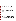# **Section 2 Introduction**

This environmental technology verification report (ETVR) presents information from the demonstration of the MAP Spectrum Analyzer. This analyzer was developed by Scitec Corporation to perform elemental analyses (metals quantitation) in the field, most commonly lead in soil and paint. This analyzer uses a solid-state silicon detector and a cadmium-109  $(Cd<sup>109</sup>)$  source to detect metals in the test sample. The analyzer is designed to operate in the *in situ* mode; this is commonly referred to as "point-and-shoot." In this mode of operation, the point of measurement on the soil surface is cleared of loose debris and organic matter, the analyzer's probe is then placed directly on the soil surface, and a measurement is taken.

This section provides general information about the demonstration including the purpose, objectives, and design. Section 3 presents and discusses the quality of data produced by the reference methods against which the analyzer was evaluated. Section 4 discusses the MAP Spectrum Analyzer's capabilities, reliability, throughput, accuracy, precision, comparability to reference methods, and other evaluation factors. Section 5 discusses the potential applications of the analyzer, presents a method for data correction, and suggests a framework for a standard operating procedure (SOP). Section 6 lists the references cited in this ETVR.

### **Demonstration Background, Purpose, and Objectives**

The demonstration was conducted under the Monitoring and Measurement Technologies Program (MMTP), a component of the SITE Program. MMTP is managed by NERL-ESD, Las Vegas, Nevada. The goal of the MMTP is to identify and demonstrate new, innovative, and commercially available technologies that can sample, identify, quantify, or monitor changes in contaminants at hazardous waste sites. This includes those technologies that can be used to determine the physical characteristics of a site more economically, efficiently, and safely than conventional technologies. The SITE Program is administered by the National Risk Management Research Laboratory, Cincinnati, Ohio.

The purpose of this demonstration was to provide the information needed to fairly and thoroughly evaluate the performance of FPXRF analyzers to identify and quantify concentrations of metals in soils. The primary objectives were to evaluate FPXRF analyzers in the following areas: (1) their accuracy and precision relative to conventional analytical methods; (2) the influence of sample matrix variations (texture, moisture, heterogeneity, and chemical composition) on their performances; (3) the logistical and economic resources necessary to operate these analyzers; and (4) to test and validate an SW-846 draft method for FPXRF analysis.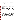Secondary objectives for this demonstration were to evaluate FPXRF analyzers for their reliability, ruggedness, cost, range of usefulness, and ease of operation. The performance of each analyzer was not compared against another. Instead, the performance of each analyzer was independently and individually compared to the performance of standard analytical methods commonly used in regulatory enforcement or compliance activities. In addition, each analyzer's performance was assessed relative to measurement of standard reference materials (SRM), performance evaluation (PE) samples, and other quality control (QC) samples.

A special request was made by Mr. Oliver Fordham, the demonstration's technical advisor, EPA Office of Solid Waste (OSW), for Midwest Research Institute (MRI) to analyze some of the soil samples to validate the performance of draft Method 3052 "Microwave Assisted Acid Digestion of Ash and Other Siliceous Wastes." Thirty percent of the soil samples were extracted using draft Method 3052 and then analyzed by Method 6010A. The data generated from the draft Method 3052 and Method 6010A analysis were not used for comparative purposes to the FPXRF data in this demonstration.

#### **Reference Methods**

To assess the performance of each analyzer, FPXRF data were compared to reference data. The reference methods used for this assessment were EPA SW-846 Methods 3050A/6010A, which are considered the standards for metals analysis in soil for environmental applications. For purposes of these discussions, the term "reference" was substituted for "confirmatory" since the data were used as a baseline for comparison. MRI was awarded the subcontract to analyze soil samples using the reference methods in accordance with Federal Acquisition Regulations. The award was made based on MRI's costs, ability to meet the demonstration's quality assurance project plan (QAPP) requirements, and as the only commercial laboratory identified that could perform all the sample analyses in the required timeframe.

Method 3050A is the standard acid extraction procedure used for determining metals concentrations in soil samples. It is not a total digestion method, and it potentially does not extract all the metals in a soil sample. Method 6010A is the standard method used to analyze Method 3050A extracts (Section 3).

High quality, well documented reference laboratory results were essential for meeting the objectives of the demonstration. For an accurate assessment, the reference methods had to provide a known level of data quality. For all measurement and monitoring activities conducted by the EPA, the Agency requires that data quality parameters be established based on the end use of the data. Data quality parameters include five indicators often referred to as the PARCC parameters: precision, accuracy, representativeness, completeness, and comparability. In addition, method detection limits (MDL) are often used to assess data quality.

Reference methods were evaluated using the PARCC parameters to establish the quality of data generated and to ensure that the comparison of FPXRF analyzers to reference data was acceptable. The following narrative provides definitions of each of the PARCC parameters.

Precision refers to the degree of mutual agreement between replicate measurements and provides an estimate of random error. Precision is often expressed in terms of relative standard deviation (RSD) between replicate samples. The term relative percent difference (RPD) is used to provide this estimate of random error between duplicate samples.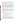Accuracy refers to the difference between a sample result and the reference or true value. Bias, a measure of the departure from perfect accuracy, can be calculated from the reference or true value. Accuracy and bias for the reference laboratory were assessed by evaluating calibration standard linearity, method blank results and the percent recoveries of matrix spike samples, laboratory control samples (LCS), standard reference materials (SRMs), and PE samples.

Representativeness refers to the degree to which data accurately and precisely measures the conditions and characteristics of the parameter of interest. Representativeness for the reference laboratory was ensured by executing consistent sample collection procedures including sample locations, sampling procedures, storage, packaging, shipping, equipment decontamination, and proper laboratory sample handling procedures. Representativeness was ensured by using the appropriate reference method to provide results that produced the most accurate and precise measurement it was capable of achieving. The combination of the existing method requirements supplemented by the demonstration QAPP provided the guidance to assure optimum performance of the method. Representativeness was assessed by evaluating calibration standards, method blank samples, duplicate samples, and PE samples.

Completeness refers to the amount of data collected from a measurement process compared to the amount that was expected to be obtained. For the reference data, completeness referred to the proportion of valid, acceptable data generated.

Comparability refers to the confidence with which one data set can be compared to another. Data generated from the reference methods should provide comparable data to any other laboratory performing analysis of the same samples with the same analytical methods. Comparability for the reference methods was achieved through the use of standard operating procedures (SOPs), EPA-published guidance, and the demonstration QAPP. QC samples that were used to evaluate comparability include: calibration standards, method blank samples, matrix spike samples, replicate samples, LCSs, SRMs, and PE samples.

### **Site Selection**

PRC conducted a search for suitable demonstration sites between September and November 1994. The following criteria were used to select appropriate sites:

- The site owner had to agree to allow access for the demonstration.
- The site had to have soil contaminated with some or all of the target heavy metals. (Slag, ash, and other deposits of mineralized metals would not be assessed during the demonstration.)
- The site had to be accessible to two-wheel drive vehicles.
- The site had to exhibit one or more of the following soil textures: sand, clay, or loam.
- The site had to exhibit surface soil contamination.
- The sites had to be situated in different climatological environments.

PRC contacted NERL-ESD, regional EPA offices, state environmental agencies, metals fabrication, and smelting contacts to create an initial list of potential demonstration sites. PRC received considerable assistance from the EPA RCRA and Superfund Branches in Regions 4, 6, 7, 8, 9, and 10. PRC also contacted the Montana Department of Health and Environment, the Nevada Bureau of Mines and Geology, the Oklahoma Department of Environmental Quality, the Arizona Department of Environmental Quality, the Missouri Department of Natural Resources, the Arizona Bureau of Geology, and the New Mexico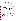Bureau of Mines and Mineral Resources. PRC surveyed its offices in Kansas City, Kansas; Atlanta, Georgia; Denver, Colorado; Dallas, Texas; Albuquerque, New Mexico; Helena, Montana; Chicago, Illinois; Seattle, Washington; and San Francisco, California, for information regarding potential sites. These PRC offices have existing RCRA, Superfund, or Navy environmental contracts that allow access to regional, state, and federal site information. PRC also used the Record of Decision Scan database (Morgan and others 1993) to search for appropriate sites.

PRC screened 46 potential sites based on the site-selection criteria with the assistance of the various contacts listed above. Based on this screening effort, PRC and EPA determined that the RV Hopkins and ASARCO sites met most of the site-selection criteria, and therefore, would be the acceptable for the demonstration.

The ASARCO site consists of 67 acres of land adjacent to Commencement Bay. The site is marked by steep slopes leading into the bay, a slag fill that was used to extend the original shoreline, a cooling water pond, and various buildings associated with the smelting process. Partial facility demolition was conducted in 1987. Most of the buildings were demolished between 1993 and 1994. The only buildings remaining are the Fine Ore Building, the Administrative Building, and a Maintenance Garage.

Past soil sampling results targeted four general areas of the site: the plant administration area, the former cooling pond, the 1987 demolition area, and certain off-site residential areas adjacent to the smelter stack. Previous sampling has shown surficial soils to be more contaminated than subsurface soils. Arsenic, copper, and lead are the predominant contaminants in the local soils. The highest arsenic concentrations were found in the soils around the former arsenic kitchen, along with cadmium and mercury. The soils around the former cooling pond contained the highest copper concentrations and high levels of silver, selenium, barium, and chromium. Lead concentrations are highest northeast of the arsenic plant.

Much of the smelter site is covered with artificial fill material of varying thickness and composition. Two general types of fill are found on the site: a granular fill and a massive slag fill. The composition of the granular fill material ranges from sand to silt with demolition debris and slag debris mixed throughout. The massive slag fill is a solid, fractured media restricted to the plant site. The surface soil in the plant administration area has a layer of slag particles on top, ranging from 1 to 3 inches thick. Surficial material in the parking lot area and southwest of the stack is mostly of glacial origin and is composed of various mixtures of sand, gravel, and cobbles. The soils around the former cooling pond are fine-grained lacustrine silts and clays. Alluvium upgradient of the former cooling pond has been almost entirely covered with granular fill material. Generally, soils in the arsenic kitchen and stack hill areas are sand mixed with gravel or sandy clay mixed with cobbles.

The RV Hopkins site is located in the west end of Davenport, Iowa. The facility occupies approximately 6.7 acres in a heavy industrial/commercial zoned area. Industrial activities in the area of the RV Hopkins property included the manufacture of railroad locomotive engines during the mid-1800's. The RV Hopkins property was a rock quarry during the late 1800's. Aerial surveys beginning in 1929 show that the rock quarry occupied the majority of the site initially, gradually decreasing until it was completely filled by 1982. It was reported that the site was used to dispose of demolition debris, automotive, and scrap metal. The site also has been used by a company that recycled lead acid batteries.

RV Hopkins began operating as a drum reconditioner in 1951 across the street from its current location. In 1964, the site owner reportedly covered the former quarry area of the site with foundry sand. No foundry sand was analyzed as part of this demonstration. RV Hopkins receives between 400 and 600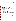drums per day for reconditioning, accepting only drums that meet the definition of "empty" according to 40 Code of Federal Regulations 261.7. Most of the drums received at the facility come from the paint, oil, and chemical industries. The surrounding area is reported to be underlain by Devonian-aged Wapsipinicon Limestone, and gray-green shale, lime mud, and sand stringers dating back to the Pennsylvanian age.

The RV Hopkins property is composed of five buildings: the office and warehouse, a warehouse used to store drums of hazardous waste and a waste pile, a manufacturing building, a drum reclamation furnace, and a cutting shed. The office and the warehouse are located on the southwest corner of the site. Areas investigated on this site include the furnace area, the old and new baghouses, the former drum storage area on the north end of the facility, the former landfill, and a drainage ditch. Major contaminants include barium, lead, chromium, and zinc, as well as lesser concentrations of other metals, such as copper and nickel, pesticides, and volatile organic compounds.

Based on historical data, the most concentrated contaminants in the furnace area are chromium, lead, and zinc. The highest concentrations of these elements are at the furnace entrance, as opposed to the furnace exit. The concentrations of lead are higher in the old baghouse than in the new, while the new baghouse exhibits a higher concentration of chromium, as well as high iron, lead, and barium concentrations. The former landfill has concentrations of barium, chromium, lead, nickel, and zinc greater than 1,000 mg/kg. Lead is the most prevalent contaminant in the former drum storage area with lesser concentrations of barium, chromium, and zinc.

### **Predemonstration Sampling**

Predemonstration sampling was conducted at both sites between December 5 and 14, 1994. These sampling events had the following objectives:

- To provide data on, or verify, the extent of surface contamination at each site and to locate optimum sampling areas for the demonstration.
- To allow the developers to analyze samples from the demonstration sites in advance of the demonstration, and if necessary, refine and recalibrate their technologies and revise their operating instructions.
- To evaluate samples for the presence of any unanticipated matrix effects or interferences that might occur during the demonstration.
- To check the quality assurance (QA) and QC procedures of the reference laboratory.

One hundred soil samples were analyzed on each site by the FPXRF analyzers during the predemonstration sampling activities. The samples represented a wide range in the concentration of metals and soil textures. Thirty-nine samples were submitted for reference method analysis using EPA SW-846 Methods 3050A/6010A. Twenty-nine of these samples were split and sent to the developers. Nine field duplicates were collected and submitted for reference method analysis to assess proposed sample homogenization procedures. One purchased PE sample also was submitted to the reference laboratory to provide an initial check of its accuracy.

Additionally, three samples representing low, medium, and high concentrations were collected at each site. These samples were dried, ground, and then analyzed by six independent laboratories before the demonstration began to create site-specific PE samples. These samples were analyzed with laboratory-grade X-ray fluorescence (XRF) analyzers.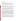### **Experimental Design**

The experimental design for this demonstration was developed to meet the primary and secondary objectives stated above, and was approved by all participants prior to the start of the demonstration. The design is detailed in the demonstration plan (PRC 1995) and is summarized below.

Approximately 100 soil sample measurements were collected from each of three target soil textures: clay, loam, and sand. This variety of soil textures allowed the examination of the effect of soil texture on data comparability. Splits of these samples were analyzed by all of the FPXRFs and by the reference methods.

The MAP Spectrum Analyzer is designed to operate in the *in situ* mode. The sampling and analysis procedure was designed to test the common application of FPXRF analyzers. The sampling procedure used is illustrated in Figure 2-1. Since the MAP Spectrum Analyzer operates in the *in situ* mode only, the discussion of the experimental design will be limited to *in situ* sample preparation and analysis.

For *in situ* analysis, an area 4 inches by 4 inches square was cleared of all vegetation, debris, and gravel larger than 2 millimeters (mm) in diameter. The analyzer took one *in situ* measurement in each sample area. These data represented FPXRF *in situ* measurements for unprepared soils (*in situ*unprepared). Replicate measurements were taken at 4 percent of these locations to assess analyzer precision. Figure 2-1 depicts the sample analysis chain for *in situ* analyses. The MAP Spectrum Analyzer only reported *in situ*-unprepared and *in situ*-prepared samples.

After the *in situ*-unprepared analysis was complete at a given location, the soil within the 4-inch by 4 inch square was removed to a depth of 1 inch and homogenized in a plastic bag. This produced a soil sample of approximately 375 grams or 250 cubic centimeters  $(cm<sup>3</sup>)$ . Sample homogenization was monitored by adding 1 to 2 grams of sodium fluorescein salt (which fluoresces when exposed to ultraviolet light) to the sample homogenization bag. During the predemonstration, it was determined that sodium fluorescein did not affect the FPXRF or reference method analysis. Sample homogenization took place by kneading the sample and sodium fluorescein salt in a plastic bag for 2 minutes. After this period, the sample preparation technician examined the sample under ultraviolet light to assess the distribution of sodium fluorescein throughout the sample. If the sodium fluorescein salt was not evenly distributed, the homogenization and checking process were repeated until the sodium fluorescein was evenly distributed throughout the sample. This monitoring process assumed that thorough distribution of sodium fluorescein was indicative of good sample homogenization. The effectiveness of this homogenization procedure is discussed later in this section.

The homogenized sample was then spread out inside a 1-inch-deep petri dish. The FPXRF analyzer then took one measurement of this homogenized material. This represented the homogenized sample analysis for the *in situ* analyzers (*in situ*-prepared). This process represents the common practice of sample homogenization in a plastic bag and subsequent sample measurement through the bag. Replicate measurements were also collected from 4 percent of these samples to assess analyzer precision. These replicate measurements were made on the same soil samples that were used for the unprepared precision determination.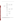

**Figure 2-1. Sample Preparation and Analysis**: This flowchart depicts the handling procedures for each sample collected for analysis by the MAP Spectrum Analyzer.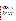### **Qualitative Factors**

There are a number of factors important to data collection that are difficult to quantify and must be evaluated qualitatively. These are considered qualitative factors. One such factor was the amount of training required to operate a given FPXRF analyzer. To assess this factor, PRC operators were trained by the developers on how to operate their respective FPXRF analyzers. All operators met or exceeded the developers' minimum requirements for education and previous experience. Demonstration procedures were designed to simulate routine field conditions as closely as possible. The developers trained the operators using their respective operator training manuals. Based on this training and field experience, the operators prepared a subjective evaluation assessing the training and technology operation during the demonstration (Section 4).

Many analytical methods exhibit significant "operator effects," in which individual differences in sample preparation or operator technique result in a significant effect on the numerical results. To reduce the possible influence of operator effects, a single operator was used to operate each FPXRF analyzer. While this reduced some potential error from the evaluation, it did not allow the analyzers to be evaluated for their susceptibility to operator-induced error. A single operator was used to analyze all of the samples at both sites during this demonstration. Sample preparation variation effects were minimized in the field by using the same personnel to prepare samples. To eliminate the influence of operator effects on the reference method analysis, only one reference laboratory was used to analyze the samples. Based on this design, there is no quantitative estimate of "operator" effect.

### **Quantitative Factors**

Many factors in this demonstration could be quantified by various means. Examples of quantitative factors evaluated during this demonstration include analyzer performance near regulatory action levels, the effects of sample preparation, effects of microwave sample drying, count times, health and safety considerations, costs, and interferences.

The data developed by the FPXRF analyzers were to be compared to reference data for the following primary analytes: arsenic, barium, chromium, copper, lead, and zinc; and for the following secondary analytes: nickel, iron, cadmium, and antimony. The specific analytes determined by the MAP Spectrum Analyzer were arsenic, copper, lead, and zinc.

Evaluations of analyzer data comparability involved examining the effects of each site, soil texture, and sample preparation technique (Table 2-1). Two sites were sampled for this demonstration. Thus, two site variables were examined (RV Hopkins and ASARCO sites). These sites produced samples from three distinct soil textures and, therefore, three soil variables were examined (clays, sands, and loams). The demonstration plan identified four sample preparation steps: (1) *in situ*-unprepared, (2) *in situ*-prepared, (3) intrusive-unprepared, and (4) intrusive-prepared (samples generated in steps 3 and 4 were not analyzed by the MAP Spectrum Analyzer). These variables were nested as follows: each site was divided into RV Hopkins and ASARCO data sets; the RV Hopkins data represented the clay soil texture, while the ASARCO data were divided into sand and loam soil textures; then each soil texture was subdivided by the soil preparations. This design allowed for the examination of particle size and homogenization effects on data comparability. These effects were believed to have the greatest impact on data comparability.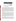| Variables        |                    |                                                    |
|------------------|--------------------|----------------------------------------------------|
| Site Name (315)  | Soil Texture (315) | <b>Preparation Step [630]</b>                      |
| ASARCO (215)     | Sand (100)         | in situ-unprepared [100]<br>in situ-prepared [100] |
|                  | Loam (115)         | in situ-unprepared [115]<br>in situ-prepared [115] |
| RV Hopkins (100) | Clay (100)         | in situ-unprepared [100]<br>in situ-prepared [100] |

|  |  |  | Table 2-1. Performance and Comparability Variables Evaluated |
|--|--|--|--------------------------------------------------------------|
|--|--|--|--------------------------------------------------------------|

Notes:

( ) Total number of sample points.

[  $\vert$  Total number of measurements taken.

Of greatest interest to users is analyzer performance near action levels. For this reason, samples were approximately distributed as follows: 25 percent in the 0 - 100 mg/kg range, 50 percent in the 100 - 1,000 mg/kg range, and 25 percent in the greater than 1,000 mg/kg range. The lower range tested analyzer performance near MDLs; the middle range tested analyzer performance in the range of many action levels for inorganic contaminants; and the higher range tested analyzer performance on grossly contaminated soils. All samples collected for the demonstration were split between the FPXRF analyzers and reference laboratory for analysis. Metal concentrations measured using the reference methods were considered to represent the "true" concentrations in each sample. Where duplicate samples existed, concentrations for the duplicates were averaged and the average concentration was considered to represent the true value for the sample pair. This was specified in the demonstration plan. If one or both samples in a duplicate pair exhibited a nondetect for a particular target analyte, that pair of data was not used in the statistical evaluation of that analyte. The reference methods reported measurable concentrations of target analytes in all of the samples analyzed.

In addition to the quantitative factors discussed above, the common FPXRF sample preparation technique of microwave drying of samples was evaluated. Sample temperatures during this procedure can be high enough to melt some mineral fractions in the sample or to combust organic matter. Several metals that present environmental hazards can volatilize at elevated temperatures. Arsenic sublimes at 188  $^{\circ}C$ , within the potential temperature range achieved during microwave drying of samples. To assess this effect, 10 percent of the homogenized, crushed, oven-dried, and sieved samples were split and heated in a microwave oven on high for 3 minutes. This time was chosen to approximate common microwave drying times used in the field. These samples were submitted for reference analysis. The reference data for these samples were compared to the corresponding reference data produced from the convection oven-dried sample. These data showed the effects of the microwave drying variable on analyte concentration. This was a minor variable and it was only evaluated for the reference laboratory in an attempt to identify any potential effect on data comparability.

Another quantitative variable evaluated was the count time used to acquire data. During the formal sample quantitation and precision measurement phase of the demonstration, the count times were set by the developers and remained constant throughout the demonstration. Count times can be tailored to produce the best results for specific target analytes. The developers, however, selected count times that produced the best compromise of results for the entire suite of target analytes. To allow a preliminary assessment of the effect of count times, select soil samples were analyzed in replicate using count times longer and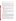shorter than those set by the developers. This allowed the evaluation of the effects of count times on analyzer performance.

An important health and safety issue during the demonstration was the effectiveness of radioactivity shielding of each FPXRF analyzer. Quantitative radiation readings were made with a gamma ray detector near each analyzer to assess the potential for exposure to radiation.

A compilation of the cost of using each FPXRF analyzer was another important evaluation factor. Cost includes analyzer purchase or rental, expendable supplies, such as liquid nitrogen and sample cups, and nonexpendable costs, such as labor, licensing agreements for the radioactive sources, operator training costs, and disposal of investigation-derived waste (IDW). This information is provided to assist a user in developing a project cost analysis.

Factors that could have affected the quantitative evaluations included interference effects and matrix effects. Some of these effects and the procedures used to evaluate their influence during this demonstration are summarized below:

- Heterogeneity: For *in situ*-unprepared measurements, heterogeneity was partially controlled by restricting measurements within a 4-by-4-inch area. For measurements after the initial point-andshoot preparation, heterogeneity was minimized by sample homogenization. This effect was evaluated through the sample preparation data.
- Particle Size: Since no intrusive samples were analyzed, the effect of particle size was not determined for this analyzer.
- Moisture Content: It has been suggested that major shifts in sample moisture content can affect a sample's relative fluorescence. This effect could not be evaluated as thoroughly as planned because of the small difference in sample moisture content observed at the two sites.
- Overlapping Spectra of Elements: Interferences result from overlapping spectra of metals that emit X-rays with similar energy levels. The reference method analysis provided data on the concentration of potential interferants in each sample.

### **Evaluation of Analyzer Performance**

Metals concentrations measured by each analyzer were compared to the corresponding reference laboratory data and to other QA/QC sample results. These comparisons were conducted independently for each target analyte. These measurements were used to determine an analyzer's accuracy, data quality level, method precision, and comparability to reference methods. PE samples and SRM samples were used to assess analyzer accuracy. Relative standard deviations (RSD) on replicate measurements were used to determine analyzer precision. These data were also used to determine the data quality of each FPXRF analyzer's output. The data comparability and quality determination was primarily based on a comparison of the analyzer's data and the reference data. Linear regression and a matched pairs t-test were the statistical tools used to assess comparability and data quality.

A principal goal of this demonstration was the comparison of FPXRF data and the reference data. EPA SW-846 Methods 3050A/6010A were selected as the reference methods because they represent the regulatory standard against which FPXRF is generally compared. In comparing the FPXRF data and reference data, it is important to recognize that, while similar, the process by which the data are obtained is not identical. While there is significant overlap in the nature of the analysis, there are also major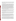differences. These differences, or "perspectives," allow the user to characterize the same sample in slightly different ways. Both have a role in site characterization and remediation monitoring. It is important to consider these differences and the measurement error intrinsic to each method when comparing the FPXRF method against a reference method.

The reference methods involve wet chemical analysis and partial digestion of approximately 1 to 2 grams of sample (approximately  $0.25$  cubic centimeters (cm<sup>3</sup>), depending on sample bulk density). The digestion process extracts the most acid-soluble portion of the sample. Since the digestion is not complete, the less acid-soluble components are not digested and are not included in the analysis. These components may include the coarser-grained quartz, feldspar, lithic components, and certain metal complexes. In contrast, FPXRF analyzers generally produce X-ray excitation in an area of approximately  $3 \text{ cm}^2$  to a depth of approximately 2.5 centimeters (cm). This equates to a sample volume of approximately 7.5 cm<sup>3</sup>. X-rays returning to the detector are derived from all matrix material including the larger-grained quartz, feldspar, lithic minerals, metal complexes, and organics. Because the FPXRF method analyzes all material, it represents a total analysis in contrast to the reference methods, which represent a select or partial analysis. This difference can result in FPXRF concentrations that are higher than corresponding reference data when metals are contained within nonacid soluble complexes or constituents. It is important to note that if metals are contained in nonacid soluble complexes, a difference between the FPXRF analyzers and the reference methods is not necessarily due to error in the FPXRF method but rather to the inherent differences in the two types of analytical methods.

The comparison of FPXRF data and the reference data used linear regression as the primary statistical tool. Linear regression analysis intrinsically contains assumptions and conditions that must be valid for each data set. Three important assumptions to consider include: (1) the linearity of the relationship, (2) the confidence interval and constant error variance, and (3) an insignificant measurement error for the independent variable (reference data).

The first assumption requires that the independent variable (reference data) and the dependent variable (FPXRF data) are linearly related and are not described by some curvilinear or more complex relationship. This linearity condition applies to either the raw data or mathematical transformations of the raw data. Figure 2-2 illustrates that FPXRF data and reference data are, in fact, related linearly and that this assumption is correct.

The second assumption requires that the error be normally distributed, the sum to equal zero, be independent, and exhibit a constant error variance for the data set. Figure 2-2 illustrates that for raw data, this assumption is not correct (at higher concentrations the scatter around the regression line increases), but that for the logarithmic transformation (shown as a log-log plot) of the data, this assumption is valid (the scatter around the regression line is uniform over the entire concentration range). The error distribution (scatter) evident in the untransformed data results in the disproportionate influence of large data values compared with small data values on the regression analysis.

The use of least squares linear regression has certain limitations. Least squares regression provides a linear equation, which minimizes the squares of the differences between the dependent variable and the regression line. For data sets produced in this demonstration, the variance was proportional to the magnitude of the measurements. That is, a measurement of 100 parts per million (ppm) may exhibit a 10 percent variance of 10 ppm, while a 1,000 ppm measurement exhibits a 10 percent variance of 100 ppm. For data sets with a large range in values, the largest measurements in a data set exert disproportionate influence on the regression analysis because the least squares regression must account for the variance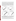associated with the higher valued measurements. This can result in an equation that has minimized error for high values, but almost neglects error for low values because their influence in minimizing dependent variable error is small or negligible. In some cases, the resulting equations, biased by high-value data, may lead to inappropriate conclusions concerning data quality. The range of the data examined for the analyzers spanned between 1 and 5 orders of magnitude (e.g., 10 - 100,000 ppm) for the target analytes. This wide range in values and the associated wide range in variance (influenced by concentration) created the potential for this problem to occur in the demonstration data set. To provide a correlation that was equally influenced by both high and low values, logarithms  $(log_{10})$  of the dependent and independent variables were used, thus, scaling the concentration measurements and providing equal weight in the least squares regression analysis to both small and large values (Figure 2-2). All statistical evaluations were carried out on  $log_{10}$  transformed data.



**Figure 2-2. Linear and Log-log Data Plots:** These graphs illustrate the linear relationship between the MAP Spectrum Analyzer's data and the reference data. The linear data plots illustrate the concentration dependence of this relationship with increased scatter at higher concentrations. The log-log plots eliminate this concentration effect. Scatter is relatively constant over the entire plot.

The third assumption, requiring an insignificant measurement error in the reference data, was not true for all analytes. The consequences of measurement error varied depending on whether the error is caused by the reference methods or the FPXRF method. If the error is random or if the error for the reference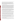methods is small compared to the total regression error, then conventional regression analysis can be performed and the error becomes a part of the random error term of the regression model. This error (based on the  $log_{10}$  transformed data) is shown in the regression summary tables in Section 4 as the "standard error." In this case, deviations from perfect comparability can be tied to an analyzer's performance. If the error for the reference methods is large compared to the total error for the correlation of the FPXRF and the reference data, then deviations from perfect comparability might be due in part to measurement error in the reference methods.

It is a reasonable assumption that any measurement errors in either the reference or FPXRF methods are independent of each other. This assumption applies to either the raw data or the  $log_{10}$  transformed data. Given this assumption, the total regression error is approximately the sum of the measurement error associated with the reference methods and the measurement error associated with the FPXRF method. The reference methods' precision is a measure of independent variable error, and the mean square error expressed in the regression analysis is a relative measure of the total regression error that was determined during the regression analysis. Precision data for the reference methods, obtained from RPD analyses on the duplicate samples from each site, for each analyte, indicated the error for the reference methods was less than 10 percent of the total regression error for the target analytes. Subsequently, 90 percent of the total measurement error can be attributed to measurement error associated with the analyzers.

The comparison of the reference data to the FPXRF data is referred to as the intermethod comparison. All reference and QA/QC data were generated using an EPA-approved definitive level analytical method. If the data obtained by an analyzer were statistically similar to the reference methods, the analyzer was considered capable of producing definitive level data. As the statistical significance of the comparability decreased, an analyzer was considered to produce data of a correspondingly lower quality. Table 2-2 defines the criteria that determined the analyzer's level of data quality (EPA 1993).

Data from this demonstration were used to place analyzer data into one of three data quality levels as follows: (1) definitive, (2) quantitative screening, and (3) qualitative screening. The first two data quality levels are defined in EPA guidance (1993). The qualitative screening level criteria were defined in the demonstration plan (PRC 1995) to further differentiate the screening level data as defined by the EPA.

Definitive level data are considered the highest level of quality. These data are usually generated by using well-defined, rigorous analytical methods. The data is analyte-specific with full confirmation of analyte identity and concentration. In addition, either analytical or total measurement error must be determined. Data may be generated in the field, as long as the QA/QC requirements are satisfied.

Quantitative screening data provides confirmed analyte identification and quantification, although the quantification may be relatively imprecise. It is commonly recommended that at least 10 percent of the screening data be confirmed using analytical methods and QA/QC procedures and criteria associated with definitive data. The quality of unconfirmed screening data cannot be determined.

Qualitative screening level data indicates the presence or absence of contaminants in a sample matrix, but does not provide reliable concentration estimates. The data may be compound-specific or specific to classes of contaminants. Generally, confirmatory sampling is not required if an analyzer's operation is verified with one or more check samples.

At the time of this demonstration, an approved EPA method for FPXRF did not exist. As part of this demonstration, PRC prepared a draft Method 6200 "Field Portable X-Ray Fluorescence Spectrometry for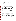the Determination of Elemental Concentrations in Soil and Sediment." The draft method has been subsequently submitted for inclusion in Update 4 of SW-846 scheduled for approval in FY-97. For the purposes of this demonstration, the lack of an EPA-approved final method did not preclude the analyzers' data from being considered definitive. The main criterion for data quality level determination was based on the comparability of each analyzer's data to that produced by the reference methods, as well as analyzerspecific criteria such as precision.

The comparability data set for the MAP Spectrum Analyzer consisted of 630 matched pairs of FPXRF and reference data for each target analyte. This data set was analyzed as a whole and then subdivided and analyzed with respect to each of the variables listed in Table 2-1. This nesting of variables allowed the independent assessment of the influence of each variable on comparability.

For the performance evaluation of this analyzer, a total of 315 soil samples was analyzed by the reference methods. These samples were analyzed by the MAP Spectrum Analyzer for the *in situ*  preparation steps and produced 630 data points. Seventy of the 315 samples submitted to the reference laboratory were split and submitted as field duplicates to assess the sample homogenization process. Thirty-three of the 315 samples were also split and microwave-dried, then submitted for reference method analysis to assess the effect of microwave drying. Of the 315 samples submitted for reference method analysis, 215 were collected from the ASARCO site and 100 were collected from the RV Hopkins site. Approximately twice as many samples were collected at the ASARCO site because two of the target soil textures (sands and loams) were found there. Only one target soil texture (clay) was found at the RV Hopkins site.

Evaluation of the influence of the site and soil variables was limited to an examination of the lead and zinc data. These were the only primary analytes that exhibited a wide distribution of concentrations across all sites and soil textures. The effects of sample preparation variables were evaluated for all target analytes. If the evaluation of the influence of a given variable did not result in a better correlation, as exhibited by a higher coefficient of determination  $(r^2)$  and smaller standard error of the estimate (using  $log_{10}$ transformed data), then the influence was considered to be insignificant. However, if the correlation worsened, the cause was examined and explained. If the correlation improved, resulting in an improved  $r<sup>2</sup>$ and reduced standard error of the estimate, then the impact of the variable was considered significant. For example, if the  $r<sup>2</sup>$  and standard error of the estimate for a given target analyte improved when the data set was divided into the four sample preparation steps, the sample preparation variable was determined to be significant. Once this was determined, the variables of site and soil texture were evaluated for each of the four sample preparations steps. If the site or soil texture variable improved the regression parameters for a given soil preparation, then that variable was also considered significant.

After the significant variables were identified, the impact of analyte concentration was examined. This was accomplished by dividing each variable's  $log_{10}$  transformed data set into three concentration ranges: 0 -100 mg/kg; 100 - 1,000 mg/kg; and greater than 1,000 mg/kg. A linear regression analysis was then conducted on these data sets. If this did not result in improved  $r^2$  values and reduced standard errors of the estimate, then the relationship between the analyzer's  $log_{10}$  transformed data and the  $log_{10}$  transformed reference data was considered linear over the entire range of concentrations encountered during the demonstration. This would mean that there was no concentration effect.

Numerous statistical tests have been designed to evaluate the significance of differences between two populations. In comparing the performance of the FPXRF analyzers against the reference methods, the linear regression comparison and the paired t-test were considered the optimal statistical tests. The paired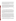t-test provides a classic test for comparing two populations, but is limited to analysis of the average or mean difference between those populations. Linear regression analysis provides information not only about how the two populations compare on average, but also about how they compare over ranges of values. Therefore, this statistical analysis technique provides information about the structure of the relationship; that is, whether the methods differ at high or low concentrations or both. It also indicates whether the FPXRF data is biased or shifted relative to the reference data.

Linear regression provides an equation that represents a line (Equation 2-1). Five linear regression parameters were considered when assessing the level of data quality produced by the FPXRF analyzers. This assessment was made on the  $log_{10}$  transformed data sets. The five parameters were the y-intercept, the slope of the regression line, standard error of the estimate, the correlation coefficient  $(r)$ , and  $r^2$ . In linear regression analysis, the r provides a measure of the degree or strength of the correlation between the dependent variable  $(log_{10}$  transformed FPXRF data), and the independent variable  $(log_{10}$  transformed reference data). The  $r^2$  provides a measure of the fraction of total variation which is accounted for by the regression relation (Havlick and Crain 1988). That is, it is a measure of the scatter about a regression line and, thus, is a measure of the strength of the linear association.

$$
Y = mX + b \tag{2-1}
$$

*where* 

*b* is the y-intercept of the regression line, *m* is the slope of the regression line, and Y and X are the  $log_{10}$  transformed dependent and independent variables, *respectively* 

Values for r vary from 1 to -1, with either extreme indicating a perfect positive or negative correlation between the independent and dependent variables. A positive correlation coefficient indicates that as the independent variable increases, the dependent variable also increases. A negative correlation coefficient indicates an inverse relationship, as the independent variable increases the dependent variable decreases. An  $r^2$  of 1.0 indicates that the linear equation explains all the variation between the data sets. As the  $r^2$ departs from 1.0 and approaches zero, there is more unexplained variation, due to such influences as lack of association with the dependent variable  $(log_{10}$  transformed FPXRF data), or the influence of other independent variables.

If the regression correlation exhibited an  $r^2$  between 0.85 and 1.0, the FPXRF data were considered to have met the first requirement for definitive level data classification (Table 2-2). The second criteria, precision was then examined and required to be equal to or less than 10 percent RSD to retain the definitive data quality level. If both these criteria are not satisfied, certain inferential statistical parameters were evaluated. First, the regression line's y-intercept and slope are examined. A slope of 1.0 and a y-intercept of 0.0 would mean that the results of the FPXRF analyzer matched those of the reference laboratory ( $log_{10}$ )  $FPXRF=\log_{10}$  reference). Theoretically, the more the slope and y-intercept differ from the values of 1.0 and 0.0, respectively, the less accurate the FPXRF analyzer. However, a slope or y-intercept can differ slightly from these values without that difference being statistically significant. To determine whether such differences were statistically significant, the Z test statistics for parallelism and for a common intercept was used at the 95 percent confidence level for the comparison (Equations 2-2 and 2-3) (Kleinbaum and Kupper 1978). These criteria were used to assign data quality levels for each analyte.

The matched pairs t-test was also used to evaluate whether the two sets of  $log_{10}$  transformed data sets were significantly different. The paired t-test compares data sets, which are composed of matched pairs of data. The significance of the relationship between two matched-pairs sets of data can be determined by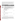comparing the calculated t-statistic with the critical t-value determined from a standard t-distribution table at the desired level of significance and degrees of freedom. To meet definitive level data quality requirements, both the slope and y-intercept had to be statistically the same as their ideal values, as defined in the demonstration plan, and the data had to be statistically similar as measured by the t-test.  $Log<sub>10</sub>$ transformed data meeting these criteria were considered statistically equivalent to the  $log_{10}$  transformed reference data.

| <b>Data Quality Level</b>       | Statistical Parameter <sup>a,b</sup>                                                                                                                                                                                                                          |
|---------------------------------|---------------------------------------------------------------------------------------------------------------------------------------------------------------------------------------------------------------------------------------------------------------|
| Definitive Level                | $r^2$ = 0.85 to 1.0. The precision (RSD) must be less than or equal to 10 percent<br>and the inferential statistics must indicate that the two data sets are statistically<br>similar.                                                                        |
| Quantitative<br>Screening Level | $r^2$ = 0.70 to 1.0. The precision (RSD) must be less than 20 percent, but the<br>inferential statistics indicate that the data sets are statistically different.                                                                                             |
| Qualitative<br>Screening        | $r^2$ = less than 0.70. The precision (RSD) is greater than 20 percent. The data<br>must have less than a 10 percent false negative rate.                                                                                                                     |
| a<br>Notes:<br>b                | The statistical tests and parameters are discussed later in the "Intermethod<br>Assessment" subsection in Section 4.<br>The regression parameters apply to either raw or $log10$ transformed data sets. The<br>precision criteria apply to only the raw data. |
|                                 |                                                                                                                                                                                                                                                               |



r<sup>2</sup> Coefficient of determination.

RSD Relative standard deviation.

*Slope Test for Significant Differences* **(2-2)** 

$$
Z = \frac{m-1}{\sqrt{SE_m + 0}}
$$

*where* 

*m is the slope of the regression line*, *SE is the standard error of the slope*, *and Z is the normal deviate test statistic*.

*Y*&*intercept Test for Significant Differences* **(2-3)** 

$$
Z = \frac{b - 0}{\sqrt{SE_b - 0}}
$$

*where*

*b* is the y-intercept of the regression line, SE is the standard error of the slope, *and Z is the normal deviate test statistic*.

If the  $r^2$  was between 0.70 and 1, the precision was between 10 and 20 percent RSD, and the slope or intercept were not statistically equivalent, then the analyzer was considered to produce quantitative screening level data quality. However, the linear regression was deemed sufficient so that bias could be identified and corrected. Results in this case could be mathematically corrected if 10 - 20 percent of the samples are sent to a reference laboratory. Reference laboratory analysis results from these samples would provide a basis for determining a correction factor.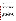Data placed in the qualitative screening level category exhibit  $r^2$  values less than 0.70. These data either were not statistically similar to the reference data based on inferential statistics or had a precision RSD greater than 20 percent. An analyzer producing data at this level is considered capable of detecting the presence or lack of contamination, above its detection limit, with at least a 90 percent accuracy rate, but it is not considered suitable for reporting of concentrations.

MDLs for the analyzers were determined in two ways. One approach followed a standard SW-846 protocol. In this approach, standard deviations (SD) from precision measurements for samples exhibiting contamination 5 to 10 times the estimated detection levels of the analyzers were multiplied by 3. The result represented the precision-based MDL for the analyzer.

In a second approach, MDLs were determined by analysis of the low concentration outliers on the  $log_{10}$ transformed FPXRF and  $log_{10}$  transformed reference method data cross plots. These cross plots for all analytes characteristically exhibited a region below the MDL where the linearity of the relationship disintegrated. Above the MDL, the FPXRF concentrations increased linearly with increasing reference method values. Effectively, the linear correlation between the two methods abruptly changes to no correlation at a point below the MDL. The value of the MDL was assigned by determining the point where the linear relationship disintegrates and assigning the MDL at two SDs above this concentration.

### **Deviations from the Demonstration Plan**

Seven deviations were made from the demonstration plan during on-site activities. The first dealt with the determination of the moisture content of the samples. The demonstration plan stated that a portion of the original sample would be used for determining moisture content. Instead, a small portion of soil immediately adjacent to the original sample location was used for determining moisture content. This was done to conserve sample volume for the reference laboratory. The moisture content sample was not put through the homogenizing and sieving steps prior to drying.

The second deviation dealt with the sample drying procedures for moisture content determination. The demonstration plan required that the moisture content samples would be dried in a convection oven at 150 EC for 2 hours. Through visual observation, it was found that the samples were completely dried in 1 hour with samples heated to only 110 °C. Therefore, to conserve time, and to reduce the potential volatilization of metals from the samples, the samples for moisture content determination were dried in a convection oven at  $110$  °C for 1 hour.

The third deviation involved an assessment of analyzer drift due to changes in temperature. The demonstration plan required that at each site, each analyzer would measure the same SRM or PE sample at 2-hour intervals during at least one day of field operation. However, since ambient air temperature did not fluctuate more than 20  $\degree$ F on any day throughout the demonstration, potential analyzer drift due to changes in temperature was not assessed.

The fourth deviation involved the drying of samples with a microwave. Instead of microwaving the samples on high for 5 minutes, as described in the demonstration plan, the samples were microwaved on high for only 3 minutes. This modification was made because the plastic weigh boats, which contained the samples, were melting and burning when left in the microwave for 5 minutes. In addition, many of the samples were melting to form a slag. PRC found (through visual observation) that the samples were completely dry after only 3 minutes. This interval is within common microwave drying times used in the field.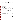US EPA ARCHIVE DOCUMENT

An analysis of the microwaved samples showed that the drying process had a significant impact on the analytical results. The mean RPD for the microwaved and nonmicrowaved raw data were significantly different at a 95 percent confidence level. This suggests that the microwave drying process somehow increases error and sample concentration variability. This difference may be due to the extreme heat that altered the reference methods' extraction efficiency for target analytes. For the evaluation of the effects of microwave drying, there were 736 matched pairs of data where both element measurements were positive. Of these pairs, 471 exhibited RPDs less than 10 percent. This 10 percent level is within the acceptable precision limits for the reference laboratory as defined in the demonstration QAPP. Pairs exhibiting RPDs greater than 10 percent totaled 265. RPDs greater than 10 percent may have causes other than analysisinduced error. Of these 265, 96 pairs indicated an increase in metals concentration with microwaving, and 169 pairs indicated a reduction in the concentration of metals. The RPDs for the microwaved samples were 2 to 3 times worse than the RPDs from the field duplicates. This further supports the hypothesis that microwave drying increases variability.

The fifth deviation involved reducing the percentage of analyzer precision measuring points. The demonstration plan called for 10 percent of the samples to be used for assessment of analyzer precision. Due to the time required to complete analysis of an analyzer precision sample, only 4 percent of the samples were used to assess analyzer precision. This reduction in samples was approved by the EPA technical advisor and the PRC field demonstration team leader. This eliminated 720 precision measurements and saved up to 3 days of analysis time. The final precision determinations for this demonstration were based on 48 sets of 10 replicate measurements for each analyzer.

The sixth deviation involved method blanks. Method blanks were to be analyzed each day and were to consist of a lithium carbonate that had been used in all sample preparation steps. Each analyzer had its own method blank samples, provided by the developer. Therefore, at the ASARCO site, each analyzer used its own method blank samples. However, at the RV Hopkins site, each analyzer used lithium carbonate method blanks that were prepared in the field, in addition to its own method blank samples. Both types of method blank analysis never identified method-induced contamination.

The seventh deviation involved assessing the accuracy of each analyzer. Accuracy was to be assessed through FPXRF analysis of 10 to 12 SRM or PE samples. Each analyzer measured a total of 28 SRM or PE samples. In addition, PE samples were used to evaluate the accuracy of the reference methods, and SRMs were used to evaluate the accuracy of the analyzers. This is because the PE concentrations are based on acid extractable concentrations while SRM concentrations represent total metals concentration. SRM data were used for comparative purposes for the reference methods as were PE data for the FPXRF data.

# **Sample Homogenization**

A key quality issue in this demonstration was ensuring that environmental samples analyzed by the reference laboratory and by each of the FPXRF analyzers were splits from a homogenized sample. To address this issue, sample preparation technicians exercised particular care throughout the field work to ensure that samples were thoroughly homogenized before they were split for analysis. Homogenization was conducted by kneading the soil in a plastic bag for a minimum of 2 minutes. If after this time the samples did not appear to be well homogenized, they were kneaded for an additional 2 minutes. This continued until the samples appeared to be well homogenized.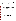Sodium fluorescein was used as an indicator of complete sample homogenization. Approximately onequarter teaspoon of dry sodium fluorescein salt was added to each sample prior to homogenization. After the homogenization was completed, the sample was examined under an ultraviolet light to assess the distribution of sodium fluorescein throughout the sample. If the fluorescent dye was evenly dispersed in the sample, homogenization was considered complete. If the dye was not evenly distributed, the mixing was continued and checked until the dye was evenly distributed throughout the sample.

To evaluate the homogenization process used in this demonstration, 70 field duplicate sample pairs were analyzed by the reference laboratory. Sample homogenization was critical to this demonstration; it assured that the samples measured by the analyzers were as close as possible to samples analyzed by the reference laboratory. This was essential to the primary objectives of this demonstration, the evaluation of comparability between analyzer results and those of the reference methods.

The homogenization process was evaluated by determining the RPD between paired field duplicate samples. The RPDs for the field duplicate samples reflect the total error for the homogenization process and the analytical method combined (Equation 2-4). When total error from the reference laboratory was determined for the entire data set, the resultant mean RPD total (error) and 95 percent confidence interval was  $9.7 \pm 1.4$ , for all metals reported. When only the primary analytes were considered, the RPD total (error) and 95 percent confidence interval was  $7.6 \pm 1.2$ .

Total Measurement Error = 
$$
\sqrt{[(SampleHomogenicationError)^2 + (LaboratoryError)^2]}
$$
 (2-4)

Using internal QA/QC data from 27 analyses, it was possible to determine the reference laboratory's method error. The reference analytical method precision, as measured by the 95 percent confidence interval around the mean RPDs (laboratory error) of predigestion duplicate analyses, was  $9.3 \pm 2.9$  for all of the target analytes.

To determine the error introduced by the sample homogenization alone, the error estimate for the reference methods was subtracted from the total error (Equation 2-5). Based on the data presented above, the laboratory-induced error was less than or approximately equal to the total error. This indicates that the sample homogenization (preparation) process contributed little or no error to the overall sample analysis process.

Sample Homogenization Error = 
$$
\sqrt{[(Total Measurement Error)^2 - (Laboratory Error)^2]}
$$
 (2-5)

Although the possibility for poorly homogenized samples exists under any homogenization routine, at the scale of analysis used by this demonstration, the samples were considered to be completely homogenized.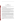# **Section 3 Reference Laboratory Results**

All soil samples collected from the ASARCO and RV Hopkins sites were submitted to the reference laboratory for trace metals analysis. The results are discussed in this section.

# **Reference Laboratory Methods**

Samples collected during this demonstration were homogenized and split for extraction using EPA SW-846 Method 3050A. This is an acid digestion procedure where 1 to 2 grams of soil are digested on a hot plate with nitric acid, followed by hydrogen peroxide, and then refluxed with hydrochloric acid. One gram of soil was used for extraction of the demonstration samples. The final digestion volume was 100 milliliters (mL). The soil sample extracts were analyzed by Method 6010A.

Method 6010A provides analysis of metals using Inductively Coupled Plasma-Atomic Emission Spectroscopy (ICP-AES). This method requires that a plasma be produced by applying a radio-frequency field to a quartz tube wrapped by a coil or solenoid through which argon gas is flowing. The radiofrequency field creates a changing magnetic field in the flowing gas inside the coil, inducing a circulating eddy current on the argon gas that, in turn, heats it. Plasma is initiated by an ignition source and quickly stabilizes with a core temperature of 9,000 - 10,000 degrees Kelvin.

Soil sample extracts are nebulized, and the aerosol is injected into the plasma. Individual analytes introduced into the plasma absorb energy and are excited to higher energy states. These higher energy states have short lifetimes and the individual elements quickly fall back to their ground energy state by releasing a photon. The energy of the emitted photon is defined by the wavelength of electromagnetic radiation produced. Since many electronic transitions are possible for each individual element, several discrete emissions at different wavelengths are observed. Method 6010A provides one recommended wavelength to monitor for each analyte. Due to complex spectra with similar wavelengths from different elements in environmental samples, Method 6010A requires that interference corrections be applied for quantification of individual analytes.

Normal turnaround times for the analysis of soil samples by EPA SW-846 Methods 3050A/6010A range from 21 to 90 days depending on the complexity of the soil samples and the amount of QC documentation required. Faster turnaround times of 1 - 14 days can be obtained, but at additional cost.

Costs for the analysis of soil samples by EPA SW-846 Methods 3050A/6010A range from \$150 to \$350 per sample depending on turnaround times and the amount of QC documentation required. A sample turnaround of 28 days, a cost of \$150 per sample, and a CLP documentation report for QC were chosen for this demonstration.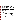# **Reference Laboratory Quality Control**

The reference laboratory, Midwest Research Institute (Kansas City, MO), holds certifications for performing target analyte list metals analysis with the U.S. Army Corps of Engineers-Missouri River Division, the State of California, and the State of Utah. These certifications include on-site laboratory audits, data package review audits, and the analysis of PE samples supplied by the certifying agency. PE samples are supplied at least once per year from each of the certifying agencies. The reference laboratory's results for the PE samples are compared to true value results and certifying agency acceptance limits for the PE samples. Continuation of these certifications hinges upon acceptable results for the audits and the PE samples.

The analysis of soil samples by the reference laboratory was governed by the QC criteria in its SOPs, Method 6010A, and the demonstration QAPP. Table 3-1 provides QAPP QC requirements that were monitored and evaluated for the target analytes. Method 6010A QC guidelines also are included in Table 3-1. Due to the complex spectra derived from the analysis of the demonstration samples, the QAPP QC requirements were applied only to the primary analytes. The QAPP QC requirements also were monitored and evaluated for the secondary analytes and other analytes reported by the reference laboratory. However, corrective actions were not required for the secondary analytes.

| <b>Parameter</b>                                                                                                                                                                             | <b>Frequency</b>                                                          | <b>Reference Method</b><br><b>Requirement</b>                | <b>QAPP Requirement</b>                                                                            |
|----------------------------------------------------------------------------------------------------------------------------------------------------------------------------------------------|---------------------------------------------------------------------------|--------------------------------------------------------------|----------------------------------------------------------------------------------------------------|
| Initial Calibration<br>Verification (ICV)<br>Standard                                                                                                                                        | With each initial<br>calibration                                          | ±10 percent of true value                                    | $±10$ percent of true value                                                                        |
| <b>Continuing Calibration</b><br>Verification (CCV)<br>Standard                                                                                                                              | After analysis of every 10<br>samples and at the end<br>of analytical run | $±10$ percent of true value                                  | $±10$ percent of true value                                                                        |
| Initial and Continuing<br>With each continuing<br><b>Calibration Blanks</b><br>calibration, after analysis<br>of every 10 samples, and<br>(ICB) and (CCB)<br>at the end of analytical<br>run |                                                                           | ±3 standard deviations of<br>the analyzer background<br>mean | No target analytes at<br>concentrations greater than<br>2 times the lower reporting<br>limit (LRL) |
| Interference Check<br>Standard (ICS)                                                                                                                                                         | With every initial<br>calibration and after<br>analysis of 20 samples     |                                                              | $±20$ percent of true value                                                                        |
| <b>High Level Calibration</b><br><b>Check Standard</b>                                                                                                                                       | With every initial<br>calibration                                         | $±5$ percent of true value                                   | $±10$ percent of true value                                                                        |
| <b>Method Blanks</b>                                                                                                                                                                         | With each batch of<br>samples of a similar<br>matrix                      | No QC requirement<br>specified                               | No target analytes at<br>concentrations greater than<br>2 times the LRL                            |
| <b>Laboratory Control</b><br>Samples                                                                                                                                                         | With each batch of<br>samples of a similar<br>matrix                      | No QC requirement<br>specified                               | 80 - 120 percent recovery                                                                          |
| <b>Predigestion Matrix</b><br>Spike Samples                                                                                                                                                  | With each batch of<br>samples of a similar<br>matrix                      | 80 - 120 percent recovery                                    | 80 - 120 percent recovery                                                                          |
| <b>Postdigestion Matrix</b><br><b>Spike Samples</b>                                                                                                                                          | With each batch of<br>samples of a similar<br>matrix                      | 75 - 125 percent recovery                                    | 80 - 120 percent recovery                                                                          |

Table 3-1. Reference Laboratory Quality Control Parameters<sup>a</sup>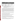### **Table 3-1.** *Continued*

| <b>Parameter</b>                                    | <b>Frequency</b>                                     | <b>Reference Method</b><br><b>Requirement</b>                | <b>QAPP Requirement</b>                                                    |
|-----------------------------------------------------|------------------------------------------------------|--------------------------------------------------------------|----------------------------------------------------------------------------|
| Performance<br><b>Evaluation Samples</b>            | As submitted during<br>demonstration                 | No QC requirement<br>specified                               | 80 - 120 percent recovery<br>within performance<br>acceptance limits (PAL) |
| Predigestion Laboratory<br><b>Duplicate Samples</b> | With each batch of<br>samples of a similar<br>matrix | 20 percent relative<br>percent difference (RPD) <sup>b</sup> | 20 percent RPD <sup>c</sup>                                                |
| Postdigestion<br>Laboratory Duplicate<br>Samples    | With each batch of<br>samples of a similar<br>matrix | No QC requirement<br>specified                               | 10 percent RPD <sup>c</sup>                                                |

Notes: a Quality control parameters were evaluated on the raw reference data.

RPD control limits only pertain to original and laboratory duplicate sample results that were greater than 10 times the instrument detection limit (IDL).

RPD control limits only pertain to original and laboratory duplicate sample results that were greater than or equal to 10 times the LRL.

PRC performed three on-site audits of the reference laboratory during the analysis of predemonstration and demonstration samples. These audits were conducted to observe and evaluate the procedures used by the reference laboratory and to ensure that these procedures adhered to the QAPP QC requirements. Audit findings revealed that the reference laboratory followed the QAPP QC requirements. It was determined that the reference laboratory had problems meeting two of the QAPP QC requirements: method blank results and the high level calibration check standard's percent recovery. Due to these problems, these two QAPP QC requirements were widened. The QC requirement for method blank sample results was changed from no target analytes at concentrations greater than the lower reporting limit (LRL) to two times the LRL. The QC requirement for the high level calibration standard percent recovery was changed from  $\pm 5$ to  $\pm 10$  percent of the true value. These changes were approved by the EPA and did not affect the results of the demonstration.

The reference laboratory internally reviewed its data before releasing it. PRC conducted a QC review on the data based on the QAPP QC requirements and corrective actions listed in the demonstration plan.

# **Quality Control Review of Reference Laboratory Data**

The QC data review focused upon the compliance of the data with the QC requirements specified in the demonstration QAPP. The following sections discuss results from the QC review of the reference laboratory data. All QC data evaluations were based on raw data.

### *Reference Laboratory Sample Receipt, Handling, and Storage Procedures*

Demonstration samples were divided into batches of no more than 20 samples per batch prior to delivery to the reference laboratory. A total of 23 batches containing 315 samples and 70 field duplicate samples was submitted to the reference laboratory. The samples were shipped in sealed coolers at ambient temperature under a chain of custody.

Upon receipt of the demonstration samples, the reference laboratory assigned each sample a unique number and logged each into its laboratory tracking system. The samples were then transferred to the reference laboratory's sample storage refrigerators to await sample extraction.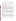Samples were transferred to the extraction section of laboratory under an internal chain of custody. Upon completion of extraction, the remaining samples were returned to the sample storage refrigerators. Soil sample extracts were refrigerated in the extraction laboratory while awaiting sample analysis.

#### *Sample Holding Times*

The maximum allowable holding time from the date of sample collection to the date of extraction and analysis using EPA SW-846 Methods 3050A/6010A is 180 days. Maximum holding times were not exceeded for any samples during this demonstration.

### *Initial and Continuing Calibrations*

Prior to sample analysis, initial calibrations (ICAL) were performed. ICALs for Method 6010A consist of the analysis of three concentrations of each target analyte and a calibration blank. The low concentration standard is the concentration used to verify the LRL of the method. The remaining standards are used to define the linear range of the ICP-AES. The ICAL is used to establish calibration curves for each target analyte. Method 6010A requires an initial calibration verification (ICV) standard to be analyzed with each ICAL. The method control limit for the ICV is  $\pm 10$  percent. An interference check sample (ICS) and a high level calibration check standard is required to be analyzed with every ICAL to assess the accuracy of the ICAL. The control limits for the ICS and high level calibration check standard were  $\pm 20$  percent recovery and  $\pm 10$  percent of the true value, respectively. All ICALs, ICVs, and ICSs met the respective QC requirements for all target analytes.

Continuing calibration verification (CCV) standards and continuing calibration blanks (CCB) were analyzed following the analysis of every 10 samples and at the end of an analytical run. Analysis of the ICS was also required after every group of 20 sample analyses. These QC samples were analyzed to check the validity of the ICAL. The control limits for the CCVs were  $\pm 10$  percent of the true value. The control limits for CCBs were no target analyte detected at concentrations greater than 2 times the LRL. All CCVs, CCBs, and ICSs met the QAPP requirements for the target analytes with the exception of one CCV where the barium recovery was outside the control limit. Since barium was a primary analyte, the sample batch associated with this CCV was reanalyzed and the resultant barium recovery met the QC criteria.

#### *Detection Limits*

The reference laboratory LRLs for the target analytes are listed in Table 3-2. These LRLs were generated through the use of an MDL study of a clean soil matrix. This clean soil matrix was also used for method blank samples and LCSs during the analysis of demonstration samples. The MDL study involved seven analyses of the clean soil matrix spiked with low concentrations of the target analytes. The mean and standard deviation of the response for each target analyte was calculated. The LRL was defined as the mean plus three times the standard deviation of the response for each target analyte included in the method detection limit study. All LRLs listed in Table 3-2 were met and maintained throughout the analysis of the demonstration samples.

The reference laboratory reported soil sample results in units of milligram per kilogram wet weight. All reference laboratory results referred to in this report are wet-weight sample results.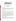|           | .           |         |                  |
|-----------|-------------|---------|------------------|
| Analyte   | LRL (mg/kg) | Analyte | LRL (mg/kg)      |
| Antimony  | 6.4         | Copper* | 1.2              |
| Arsenic*  | 10.6        | Iron    | 600 <sup>a</sup> |
| Barium*   | 5.0         | Lead*   | 8.4              |
| Cadmium   | 0.80        | Nickel  | 3.0              |
| Chromium* | 2.0         | Zinc*   | 2.0              |
|           | a           |         |                  |

# **Table 3-2. SW-846 Method 6010A LRLs for Target Analytes**

Notes: LRL elevated due to background interference.

\* Primary analyte.

mg/kg Milligrams per kilogram.

# *Method Blank Samples*

Method blanks were prepared using a clean soil matrix and acid digestion reagents used in the extraction procedure. A minimum of one method blank sample was analyzed for each of the 23 batches of demonstration samples submitted for reference laboratory analysis. All method blanks provided results for target analytes at concentrations less than 2 times the levels shown in Table 3-2.

# *Laboratory Control Samples*

All LCSs met the QAPP QC requirements for all primary and secondary analytes except those discussed below.

The primary analytes copper and lead were observed outside the QC limits in one of the 23 batches of samples analyzed. Reanalysis of the affected batches was not performed by the reference laboratory. These data were qualified by the reference laboratory. Copper and lead data for all samples included in the affected batches were rejected and not used for demonstration statistical comparisons.

Concentrations of secondary analytes antimony, nickel, and cadmium were observed outside the QC limits in the LCSs. Antimony LCS recoveries were continually outside the control limits, while nickel and cadmium LCS recoveries were only occasionally outside QC limits. Antimony was a problem analyte and appeared to be affected by acid digestion, which can cause recoveries to fall outside control limits. Antimony recoveries ranged from 70 to 80 percent. Since secondary analytes were not subject to the corrective actions listed in the demonstration QAPP, no reanalysis was performed based on the LCS results of the secondary target analytes. These values were qualified by the reference laboratory. All other secondary analyte LCS recoveries fell within the QAPP control limits.

# *Predigestion Matrix Spike Samples*

One predigestion matrix spike sample and duplicate were prepared by the reference laboratory for each batch of demonstration samples submitted for analysis. The predigestion matrix spike duplicate sample was not required by the QAPP, but it is a routine sample prepared by the reference laboratory. This duplicate sample can provide data that indicates if out-of-control recoveries are due to matrix interferences or laboratory errors.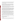Predigestion spike recovery results for the primary analytes arsenic, barium, chromium, copper, lead, and zinc were outside control limits for at least 1 of the 23 sample batches analyzed by the reference method. These control limit problems were due to either matrix effects or initial spiking concentrations below native analyte concentrations.

Barium, copper, and lead predigestion matrix spike recovery results were outside control limits in sample batches 2, 3, and 5. In all of these cases, the unacceptable recoveries were caused by spiking concentrations that were much lower than native concentrations of the analytes. These samples were reprepared, spiked with higher concentrations of analytes, reextracted, and reanalyzed. Following this procedure, the spike recoveries fell within control limits upon reanalysis.

One predigestion matrix spike recovery was outside control limits for arsenic. The predigestion matrix spike duplicate sample also was outside of control limits. This sample exhibited an acceptable RPD for the recovery of arsenic in the predigestion matrix spike and duplicate. A matrix interference may have been responsible for the low recovery. This sample was not reanalyzed.

Chromium predigestion matrix spike recoveries were outside control limits in 7 of the 23 batches of samples analyzed. Five of these seven failures exhibited recoveries ranging from 67 to 78 percent, close to the low end of the control limits. These recoveries were similar in the predigestion matrix spike duplicate samples prepared and analyzed in the same batch. This indicates that these five failures were due to matrix interferences. The predigestion matrix spike duplicate samples prepared and analyzed along with the remaining two failures did not agree with the recoveries of the postdigestion matrix spike samples, indicating that these two failures may be due to laboratory error, possibly inaccuracies in sample spiking. These seven predigestion matrix spike samples were not reanalyzed.

The zinc predigestion matrix spike recovery data were outside control limits for four batches of samples analyzed. In three of the spike recovery pairs, recoveries ranged from 70 to 76 percent, close to the lower end of the control limits. The fourth recovery was much less than the lower end of the control limits. All of the predigestion matrix spike duplicate samples provided recoveries that agreed with the recoveries for the predigestion matrix spike sample recoveries indicating that the low recoveries were due to matrix effects. These predigestion matrix spikes and associated samples were not reanalyzed.

The secondary analytes, cadmium, iron, and nickel, had predigestion spike recoveries outside control limits. Cadmium spike recoveries were outside control limits six times. These recoveries ranged from 71 to 85 percent. Iron spike recoveries were outside of control limits once. Nickel spike recoveries were outside control limits four times. These recoveries ranged from 74 to 83 percent. Antimony spike recoveries were always outside control limits. No corrective action was taken for these secondary target analytes.

Demonstration sample results for all target analytes that did not meet the control limits for predigestion matrix spike recovery were qualified by the reference laboratory.

# *Postdigestion Matrix Spike Samples*

All postdigestion matrix spike results were within the control limit of 80 - 120 percent recovery for the primary analytes.

Secondary analytes, antimony, and iron were observed outside the control limits. However, no corrective action was taken for secondary analytes as stated in the demonstration QAPP. All postdigestion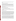spike recoveries for target analytes met the QA/QC requirements of the QAPP and were considered acceptable.

### *Predigestion Laboratory Duplicate Samples*

Predigestion laboratory duplicate RPD results were within the control limit of 20 percent for analyte concentrations greater than 10 times the LRL except for the following instances. RPDs for primary analytes barium, arsenic, lead, chromium, and copper were observed above the control limit in five predigestion laboratory duplicate samples. These samples were reanalyzed according to the corrective actions listed in the QAPP. The reanalysis produced acceptable RPD results for these primary analytes.

RPD results for the secondary analytes antimony, nickel, and cadmium were observed outside the control limit for a number of sample batches. No corrective action was taken for secondary analytes that exceeded the RPD control limit.

# *Postdigestion Laboratory Duplicate Samples*

All primary analyte postdigestion laboratory duplicate RPD results were less than the 10 percent control limit for analyte concentrations greater than 10 times the LRL.

The RPDs for secondary analytes antimony and iron were observed above the 10 percent control limit in two sample batches. No corrective action was taken for secondary target analytes that exceeded the RPD control limit.

#### *Performance Evaluation Samples*

PE samples were purchased from Environmental Resource Associates (ERA). The PE samples are Priority PollutnT™/Contract Laboratory Program (CLP) QC standards for inorganics in soil. This type of sample is used by the EPA to verify accuracy and laboratory performance. Trace metal values are certified by interlaboratory round robin analyses. ERA lists performance acceptance limits (PAL) for each analyte that represent a 95 percent confidence interval (CI) around the certified value. PALs are generated by peer laboratories in ERA's InterLaB™ program using the same samples that the reference laboratory analyzed and the same analytical methods. The reported value for each analyte in the PE sample must fall within the PAL range for the accuracy to be acceptable. Four PE samples were submitted "double blind" (the reference laboratory was not notified that the samples were QC samples or of the certified values for each element) to the reference laboratory for analysis by EPA SW-846 Methods 3050A/6010A. Reference laboratory results for all target analytes are discussed later in this section.

Four certified reference materials (CRM) purchased from Resource Technology Corporation (RTC) also were used as PE samples to verify the accuracy and performance of the reference laboratory. These four CRMs were actual samples from contaminated sites. They consisted of two soils, one sludge, and one ash CRM. Metal values in the CRMs are certified by round robin analyses of at least 20 laboratories according to the requirements specified by the EPA Cooperative Research and Development Agreement. The certified reference values were determined by EPA SW-846 Methods 3050A/6010A. RTC provides a 95 percent PAL around each reference value in which measurements should fall 19 of 20 times. The reported value from the reference laboratory for each analyte must fall within this PAL for the accuracy to be considered acceptable. As with the four PE samples, the four CRMs were submitted "double blind" to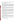the reference laboratory for analysis by EPA SW-846 Methods 3050A/6010A. The reference laboratory results for the target analytes are discussed later in the Accuracy subsection.

#### *Standard Reference Material Samples*

As stated in the demonstration plan (PRC 1995), PE samples also consisted of SRMs. The SRMs consisted of solid matrices such as soil, ash, and sludge. Certified analyte concentrations for SRMs are determined on an analyte by analyte basis by multiple analytical methods including but not limited to ICP-AES, flame atomic absorption spectroscopy, ICP-mass spectrometry, XRF, instrumental neutron activation analysis, hydride generation atomic absorption spectroscopy, and polarography. These certified values represent total analyte concentrations and complete extraction. This is different from the PE samples, CRM samples, and the reference methods, which use acid extraction that allows quantitation of only acid extractable analyte concentrations.

The reference laboratory analyzed 14 SRMs supplied by the National Institute of Standards and Technology (NIST), U.S. Geological Survey (USGS), National Research Council Canada, South African Bureau of Standards, and Commission of the European Communities. The percentage of analyses of SRMs that were within the QAPP-defined control limits of 80 - 120 percent recovery was calculated for each primary and secondary analyte.

Analyses of SRMs were not intended to assess the accuracy of EPA SW-846 Methods 3050A/6010A as were the ERA PE or RTC CRM samples. Comparison of EPA SW-846 Methods 3050A/6010A acid leach data to SRM data cannot be used to establish method validity (Kane and others 1993). This is because SRM values are acquired by analyzing the samples by methods other than the ICP-AES method. In addition, these other methods use sample preparation techniques different from those for EPA SW-846 Methods 3050A/6010A. This is one reason no PALs are published with the SRM certified values. Therefore, the SRMs were not considered an absolute test of the reference laboratory's accuracy for EPA SW-846 Methods 3050A/6010A.

The SRM sample results were not used to assess method accuracy or to validate the reference methods. This was due to the fact that the reported analyte concentrations for SRMs represent total analyte concentrations. The reference methods are not an analysis of total metals; rather they target the leachable concentrations of metals. This is consistent with the NIST guidance against using SRMs to assess performance on leaching based analytical methods (Kane and others 1993).

### *Data Review, Validation, and Reporting*

Demonstration data were internally reviewed and validated by the reference laboratory. Validation involved the identification and qualification of data affected by QC procedures or samples that did not meet the QC requirements of the QAPP. Validated sample results were reported using both hard copy and electronic disk deliverable formats. QC summary reports were supplied with the hard copy results. This qualified data was identified and discussed in the QC summary reports provided by the reference laboratory.

Demonstration data reported by the reference laboratory contained three types of data qualifiers: C, Q, and M. Type C qualifiers included the following:

• U - the analyte was analyzed for but not detected.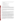• B - the reported value was obtained from a reading that was less than the LRL but greater than or equal to the IDL.

Type Q qualifiers included the following:

- N spiked sample recovery was not within control limits.
- \* duplicate analysis was not within control limits.

Type M qualifiers include the following:

• P - analysis performed by ICP-AES (Method 6010).

### **Quality Assessment of Reference Laboratory Data**

An assessment of the reference laboratory data was performed using the PARCC parameters discussed in Section 2. PARCC parameters are used as indicators of data quality and were evaluated using the review of reference laboratory data discussed above. The following sections discuss the data quality for each PARCC parameter. This quality assessment was based on raw reference data and the raw PE sample data.

The quality assessment was limited to an evaluation of the primary analytes. Secondary and other analytes reported by the reference laboratory were not required to meet the QC requirements specified in the QAPP. Discussion of the secondary analytes is presented in the precision, accuracy, and comparability sections for informational purposes only.

#### *Precision*

Precision for the reference laboratory data was assessed through an evaluation of the RPD produced from the analysis of predigestion laboratory duplicate samples and postdigestion laboratory duplicate samples. Predigestion laboratory duplicate samples provide an indication of the method precision, while postdigestion laboratory duplicate samples provide an indication of instrument performance. Figure 3-1 provides a graphical summary of the reference method precision data.

The predigestion duplicate RPDs for the primary and secondary analytes fell within the 20 percent control limit, specified in the QAPP, for 17 out of 23 batches of demonstration samples. The six results that exceeded the control limit involved only 11 of the 230 samples evaluated for predigestion duplicate precision (Figure 3-1). This equates to 95 percent of the predigestion duplicate data meeting the QAPP control limits. Six of the analytes exceeding control limits had RPDs less than 30 percent. Three of the analytes exceeding control limits had RPDs between 30 and 40 percent. Two of the analytes exceeding control limits had RPDs greater than 60 percent. These data points are not shown in Figure 3-1. Those instances where the control limits were exceeded are possibly due to nonhomogeneity of the sample or simply to chance, as would be expected with a normal distribution of precision analyses.

The postdigestion duplicate RPDs for the primary and secondary analytes fell within the 10 percent control limit, specified in the QAPP, for 21 out of 23 batches of demonstration samples. The two results that exceeded the control limit involved only 3 of the 230 samples evaluated for postdigestion duplicate precision in the 23 sample batches (Figure 3-1). This equates to 99 percent of the postdigestion duplicate data meeting the QAPP control limits. The RPDs for the three results that exceeded the control limit ranged from 11 to 14 percent.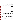



**Figure 3-1. Pre- and Postdigestion Duplicate Samples:** The top graph illustrates the reference laboratory's performance on analyzing predigestion duplicate samples. Twenty percent RPD represents the predigestion duplicate control limits defined in the demonstration QAPP. Two points were deleted from this top graph: barium at 65 percent RPD and copper at 138 percent RPD. The bottom graph illustrates the reference laboratory's performance on analyzing postdigestion duplicate samples. Ten percent RPD represents the postdigestion duplicate control limits defined in the demonstration QAPP.

# *Accuracy*

Accuracy for the reference laboratory data was assessed through evaluations of the PE samples (including the CRMs), LCSs, method blank sample results, and pre- and postdigestion matrix spike samples. PE samples were used to assess the absolute accuracy of the reference laboratory method as a whole, while LCSs, method blanks, and pre- and postdigestion matrix spike samples were used to assess the accuracy of each batch of demonstration samples.

A total of eight PE and CRM samples was analyzed by the reference laboratory. These included four ERA PE samples and four RTC CRM samples. One of the ERA PE samples was submitted to the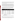reference laboratory in duplicate, thereby producing nine results to validate accuracy. The accuracy data for all primary and secondary analytes are presented in Table 3-3 and displayed in Figure 3-2. Accuracy was assessed over a wide-concentration range for all 10 analytes with concentrations for most analytes spanning one or more orders of magnitude.

Reference laboratory results for all target analytes in the ERA PE samples fell within the PALs. In the case of the RTC CRM PE samples, reference laboratory results for copper in one CRM and zinc in two CRMs fell outside the published acceptance limits. One of the two out-of-range zinc results was only slightly above the upper acceptance limit (811 versus 774 mg/kg). The other out-of-range zinc result and the out-of-range copper result were about three times higher than the certified value and occurred in the same CRM. These two high results skewed the mean percent recovery for copper and zinc shown in Table 3-3. Figure 3-2 shows that the remaining percent recoveries for copper and zinc were all near 100 percent.

Table 3-3 shows that a total of 83 results was obtained for the 10 target analytes. Eighty of the 83 results or 96.4 percent fell within the PALs. Only 3 out of 83 times did the reference method results fall outside PALs. This occurred once for copper and twice for zinc. Based on this high percentage of acceptable results for the ERA and CRM PE samples, the accuracy of the reference methods was considered acceptable.

| Analyte       | n | <b>Percent Within</b><br><b>Acceptance Range</b> | <b>Mean</b><br><b>Percent</b><br><b>Recovery</b> | <b>Range of</b><br><b>Percent</b><br><b>Recovery</b> | SD of<br><b>Percent</b><br><b>Recovery</b> | <b>Concentration</b><br>Range (mg/kg) |
|---------------|---|--------------------------------------------------|--------------------------------------------------|------------------------------------------------------|--------------------------------------------|---------------------------------------|
| Antimony      | 6 | 100                                              | 104                                              | $83 - 125$                                           | 15                                         | $50 - 4.955$                          |
| Arsenic       | 8 | 100                                              | 106                                              | $90 - 160$                                           | 22                                         | $25 - 397$                            |
| <b>Barium</b> | 9 | 100                                              | 105                                              | $83 - 139$                                           | 21                                         | $19 - 586$                            |
| Cadmium       | 9 | 100                                              | 84                                               | $63 - 93$                                            | 10                                         | $1.2 - 432$                           |
| Chromium      | 9 | 100                                              | 91                                               | $77 - 101$                                           | 8                                          | $11 - 187$                            |
| Copper        | 9 | 89                                               | 123                                              | $90 - 332$                                           | 79                                         | 144 - 4,792                           |
| Iron          | 7 | 100                                              | 98                                               | $79 - 113$                                           | 12                                         | 6,481 - 28,664                        |
| Lead          | 8 | 87.5                                             | 86                                               | $35 - 108$                                           | 22                                         | $52 - 5,194$                          |
| <b>Nickel</b> | 9 | 100                                              | 95                                               | 79 - 107                                             | 10                                         | 13 - 13,279                           |
| Zinc          | 9 | 78                                               | 120                                              | 79 - 309                                             | 72                                         | $76 - 3,021$                          |

**Table 3-3. Reference Laboratory Accuracy Data for Target Analytes** 

Notes: n Number of samples with detectable analyte concentrations.

SD Standard deviation.

mg/kg Milligrams per kilogram.

LCS percent recoveries for all the primary analytes were acceptable in 21 of the 23 sample batches. Lead recovery was unacceptable in one sample batch and lead results for each sample in that batch were rejected.

Copper recovery was unacceptable in another sample batch, and copper results for each sample in this batch also were rejected. Percent recoveries of the remaining primary analytes in each of these two batches were acceptable. In all, 136 of 138 LCS results or 98.5 percent fell within the control limits.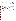Method blank samples for all 23 batches of demonstration samples provided results of less than 2 times the LRL for all primary analytes. This method blank control limit was a deviation from the QAPP, which had originally set the control limit at no target analytes at concentrations greater than the LRL. This control limit was widened at the request of the reference laboratory. A number of batches were providing method blank results for target analytes at concentrations greater than the LRL, but less than 2 times the LRL. This alteration was allowed because even at 2 times the LRL, positive results for the method blank samples were still significantly lower than the MDLs for each of the FPXRF analyzers. The results from the method blank samples did not affect the accuracy of the reference data as it was to be used in the demonstration statistical evaluation of FPXRF analyzers.

The percent recovery for the predigestion matrix spike samples fell outside of the 80 - 120 percent control limit specified in the QAPP in several of the 23 batches of demonstration samples. The predigestion matrix spike sample results indicate that the accuracy of specific target analytes in samples from the affected batches may be suspect. These results were qualified by the reference laboratory. These data were not excluded from use for the demonstration statistical comparison. A discussion of the use of this qualified data is included in the "Use of Qualified Data for Statistical Analysis" subsection.

The RPD for the postdigestion matrix spike samples fell within the 80 - 120 percent control limit specified in the QAPP for all 23 batches of demonstration samples.

The QA review of the reference laboratory data indicated that the absolute accuracy of the method was acceptable. Based on professional judgement, it was determined that the small percentage of outliers did not justify rejection of any demonstration sample results from the reference laboratory. The accuracy assessment also indicated that most of the batch summary data were acceptable. Two batches were affected by LCS outliers, and some data were qualified due to predigestion matrix spike recovery outliers. This data was rejected or qualified. Rejected data was not used. Qualified data were used as discussed below.

#### *Representativeness*

Representativeness of the analytical data was evaluated through laboratory audits performed during the course of sample analysis and by QC sample analyses, including method blank samples, laboratory duplicate samples, and CRM and PE samples. These QC samples were determined to provide acceptable results. From these evaluations, it was determined that representativeness of the reference data was acceptable.

#### *Completeness*

Results were obtained for all soil samples extracted and analyzed by EPA SW-846 Methods 3050A/6010A. Some results were rejected or qualified. Rejected results were deemed incomplete. Qualified results were usable for certain purposes and were deemed as complete.

To calculate completeness, the number of nonrejected results was determined. This number was divided by the total number of results expected, and then multiplied by 100 to express completeness as a percentage. A total of 385 samples was submitted for analysis. Six primary analytes were reported, resulting in an expected 2,310 results. Forty of these were rejected, resulting in 2,270 complete results. Reference laboratory completeness was determined to be 98.3 percent, which exceeded the objective for this demonstration of 95 percent. The reference laboratory's completeness was, therefore, considered acceptable.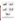









**Figure 3-2. Reference Method PE and CRM Results:** These graphs illustrate the relationship between the reference data and the true values for the PE or CRM samples. The gray bars represent the percent recovery for the reference data. Each set of three bars (black, white, and gray) represents a single PE or CRM sample. Based on this high percentage of acceptable results for the ERA and CRM PE samples, the accuracy of the reference laboratory method was considered acceptable.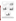

**Figure 3-2 (Continued). Reference Method PE and CRM Results:** These graphs illustrate the relationship between the reference data and the true values for the PE or CRM samples. The gray bars represent the percent recovery for the reference data. Each set of three bars (black, white, and gray) represents a single PE or CRM sample. Based on this high percentage of acceptable results for the ERA and CRM PE samples, the accuracy of the reference laboratory method was considered acceptable.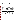# *Comparability*

Comparability of the reference data was controlled by following laboratory SOPs written for the performance of sample analysis using EPA SW-846 Methods 3050A/6010A. QC criteria defined in the SW-846 methods and the demonstration plan (PRC 1995) were followed to ensure that reference data would provide comparable results to any laboratory reporting results for the same samples.

Reference results indicated that EPA SW-846 Methods 3050A/6010A did not provide comparable results for some analytes in the SRM samples. SRM performance data for target analytes is summarized in Table 3-4 and displayed in Figure 3-3. As with the PEs, the analyte concentrations spanned up to 3 orders of magnitude in the SRMs. The percentage of acceptable (80 - 120 percent recovery) SRM results and mean percent recovery was less than 50 percent for the analytes antimony, barium, chromium, iron, and nickel. The low recoveries for these five analytes reflect the lesser tendency for them to be acid-extracted (Kane and others 1993).

Under contract to the EPA, multiple laboratories analyzed NIST SRMs 2709, 2710, and 2711 by EPA SW-846 Methods 3050A/6010A. A range, median value, and percent leach recovery based on the median value for each detectable element were then published as an addendum to the SRM certificates. These median values are not certified but provide a baseline for comparison to other laboratories analyzing these SRMs by EPA SW-846 Methods 3050A/6010A. Table 3-5 presents the published percent leach recovery for the 10 primary and secondary analytes and the reference laboratory's results for these three NIST SRMs. Table 3-5 shows that the results produced by the reference laboratory were consistent with the published results indicating good comparability to other laboratories using the same analytical methods on the same samples.

| Analyte       | n  | <b>Percent Within</b><br>Acceptance<br>Range | <b>Mean</b><br><b>Percent</b><br><b>Recovery</b> | <b>Range of</b><br><b>Percent</b><br><b>Recovery</b> | SD of<br><b>Percent</b><br><b>Recovery</b> | <b>Concentration</b><br>Range (mg/kg) |
|---------------|----|----------------------------------------------|--------------------------------------------------|------------------------------------------------------|--------------------------------------------|---------------------------------------|
| Antimony      | 5  | 0                                            | 22                                               | $15 - 37$                                            | 9                                          | $3.8 - 171$                           |
| Arsenic       | 11 | 72                                           | 84                                               | $67 - 106$                                           | 10                                         | $18 - 626$                            |
| <b>Barium</b> | 8  | 12                                           | 41                                               | $21 - 89$                                            | 21                                         | 414 - 1,300                           |
| Cadmium       | 10 | 50                                           | 80                                               | $43 - 95$                                            | 15                                         | $2.4 - 72$                            |
| Chromium      | 10 | $\mathbf 0$                                  | 45                                               | $14 - 67$                                            | 16                                         | $36 - 509$                            |
| Copper        | 17 | 88                                           | 82                                               | $33 - 94$                                            | 17                                         | $35 - 2,950$                          |
| Iron          | 7  | 14                                           | 62                                               | $23 - 84$                                            | 25                                         | 28,900 - 94,000                       |
| Lead          | 17 | 82                                           | 83                                               | $37 - 99$                                            | 17                                         | $19 - 5,532$                          |
| Nickel        | 16 | 19                                           | 67                                               | $25 - 91$                                            | 17                                         | 14 - 299                              |
| Zinc          | 16 | 75                                           | 81                                               | $32 - 93$                                            | 14                                         | $81 - 6,952$                          |

### **Table 3-4. SRM Performance Data for Target Analytes**

Notes: n Number of SRM samples with detectable analyte concentrations.

SD Standard deviation.

mg/kg Milligrams per kilogram.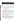|                |                                               | <b>NIST SRM 2709</b>                            | <b>NIST SRM 2710</b>                          |                                                 | <b>NIST SRM 2711</b>                          |                                                 |  |
|----------------|-----------------------------------------------|-------------------------------------------------|-----------------------------------------------|-------------------------------------------------|-----------------------------------------------|-------------------------------------------------|--|
| <b>Analyte</b> | <b>Published</b><br><b>Result<sup>a</sup></b> | <b>Reference</b><br>Laboratory<br><b>Result</b> | <b>Published</b><br><b>Result<sup>a</sup></b> | <b>Reference</b><br>Laboratory<br><b>Result</b> | <b>Published</b><br><b>Result<sup>a</sup></b> | <b>Reference</b><br>Laboratory<br><b>Result</b> |  |
| Antimony       |                                               |                                                 | 21                                            |                                                 |                                               | 20                                              |  |
| Arsenic        |                                               | 106                                             | 94                                            | 87                                              | 86                                            | 91                                              |  |
| <b>Barium</b>  | 41                                            | 37                                              | 51                                            | 45                                              | 28                                            | 25                                              |  |
| Cadmium        |                                               | –                                               | 92                                            | 84                                              | 96                                            | 87                                              |  |
| Chromium       | 61                                            |                                                 | 49                                            |                                                 | 43                                            | 49                                              |  |
| Copper         | 92                                            | 85                                              | 92                                            | 92                                              | 88                                            | 90                                              |  |
| Iron           | 86                                            | 84                                              | 80                                            | 78                                              | 76                                            | 66                                              |  |
| Lead           | 69                                            | 87                                              | 92                                            | 96                                              | 95                                            | 90                                              |  |
| <b>Nickel</b>  | 89                                            | 76                                              | 71                                            | 69                                              | 78                                            | 70                                              |  |
| Zinc           | 94                                            | 78                                              | 85                                            | 88                                              | 89                                            | 85                                              |  |

**Table 3-5. Leach Percent Recoveries for Select NIST SRMs** 

Notes: <sup>a</sup> Published results found in an addendum to SRM certificates for NIST SRMs 2709, 2710, and 2711.

NIST National Institute of Standards and Technology.

SRM Standard reference materials.

– Analyte not present above the method LRL.

The inability of EPA SW-846 Methods 3050A/6010A to achieve the predetermined 80 - 120 percent recovery requirement indicated that the methods used to determine the certified values for the SRM samples were not comparable to EPA SW-846 Methods 3050A/6010A. Differences in the sample extraction methods and the use of different analytical instruments and techniques for each method were the major factors of this noncomparability. Because of these differences, it was not surprising that the mean percent recovery was less than 100 percent for the target analytes. The lack of comparability of EPA SW-846 Methods 3050A/6010A to the total metals content in the SRMs did not affect the quality of the data generated by the reference laboratory.

The assessment of comparability for the reference data revealed that it should be comparable to other laboratories performing analysis of the same samples using the same extraction and analytical methods, but it may not be comparable to laboratories performing analysis of the same samples using different extraction and analytical methods or by methods producing total analyte concentration data.

# **Use of Qualified Data for Statistical Analysis**

As noted above, the reference laboratory results were reported and validated, qualified, or rejected by approved QC procedures. Data were qualified for predigestion matrix spike recovery and pre- and postdigestion laboratory duplicate RPD control limit outliers. None of the problems were considered sufficiently serious to preclude the use of coded data. Appropriate corrective action identified in the demonstration plan (PRC 1995) was instituted. The result of the corrective action indicated that the poor percent recovery and RPD results were due to matrix effects. Since eliminating the matrix effects would require additional analysis using a different determination method such as atomic absorption spectrometry, or the method of standard addition, the matrix effects were noted and were not corrected.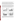PARCC parameters for the reference laboratory data were determined to be acceptable. It was expected that any laboratory performing analysis of these samples using EPA SW-846 Methods 3050A/6010A would experience comparable matrix effects. A primary objective of this demonstration was to compare sample results from the FPXRF analyzers to EPA SW-846 Methods 3050A/6010A, the most widely used approved methods for determining metal concentrations in soil samples. The comparison of FPXRF and the reference methods had to take into account certain limitations of both methods, including matrix effects. For these reasons, qualified reference data were used for statistical analysis.

The QC review and QA audit of the reference data indicated more than 98 percent of the data either met the demonstration QAPP objectives or was QC coded for reasons not limiting its use in the data evaluation. Less than 2 percent of the data were rejected based on QAPP criteria. Rejected data were not used for statistical analysis. The reference data were considered as good as or better than other laboratory analyses of samples performed using the same extraction and analytical methods. The reference data met the definitive data quality criteria and was of sufficient quality to support regulatory activities. The reference data were found to be acceptable for comparative purposes with the FPXRF data.



**Figure 3-3. Reference Method SRM Results:** These graphs illustrate the relationship between the reference data and the true values for the SRM samples. The gray bars represent the percent recovery for the reference data. Each set of three bars (black, white, and gray) represents a single SRM sample.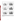



**Figure 3-3 (Continued). Reference Method SRM Results:** These graphs illustrate the relationship between the reference data and the true values for the SRM samples. The gray bars represent the percent recovery for the reference data. Each set of three bars (black, white, and gray) represents a single SRM sample.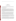# **Section 4 MAP Spectrum Analyzer**

This section provides information on the Scitec's MAP Spectrum Analyzer including the theory of FPXRF, operational characteristics, performance factors, a data quality assessment, and a comparison of results with those of the reference laboratory.

# **Theory of FPXRF Analysis**

FPXRF analyzers operate on the principle of energy dispersive XRF spectrometry. This is a nondestructive qualitative and quantitative analytical technique that can be used to determine the metals composition in a test sample. By exposing a sample to an X-ray source having an excitation energy close to, but greater than, the binding energy of the inner shell electrons of the target element, electrons are displaced. The electron vacancies that result are filled by electrons cascading in from outer electron shells. Electrons in the outer shells have higher potential energy states than inner shell electrons, and to fill the vacancies, the outer shell electrons give off energy as they cascade into the inner shell (Figure 4-1). This release of energy results in an emission of X-rays that is characteristic of each element. This emission of X-rays is termed XRF.

Because each element has a unique electron shell configuration, each will emit unique X-rays at set energies called "characteristic" X-rays. The energy of the X-ray is measured in electron volts (eV). By measuring the peak energies of X-rays emitted by a sample, it is possible to identify and quantify the elemental composition of a sample. A qualitative analysis of the sample can be made by identifying the characteristic X-rays produced by the sample. The intensity of characteristic X-rays emitted is proportional to the concentration of a given element and can be used to quantitate each target element.

Three electron shells are generally involved in the emission of characteristic X-rays during FPXRF analysis: the K, L, and M shells. A typical emission pattern, also called an emission spectrum, for a given element has multiple peaks generated from the emission X-rays by the K, L, or M shell electrons. The most commonly measured X-ray emissions are from the K and L shells; only elements with an atomic number of 58 (cerium) or greater have measurable M shell emissions.

Each characteristic X-ray peak or line is defined with the letter K, L, or M, which signifies which shell had the original vacancy and by a subscript alpha  $(\alpha)$  or beta  $(\beta)$ , which indicates the next outermost shell from which electrons fell to fill the vacancy and produce the X-ray. For example, a  $K_{\alpha}$ -line is produced by a vacancy in the K shell filled by an L shell electron, whereas a  $K<sub>8</sub>$ -line is produced by a vacancy in the K shell filled by an M shell electron. The  $K_{\alpha}$  transition is between 7 and 10 times more probable than the  $K_{\beta}$ transition. The  $K_{\alpha}$ -line is also approximately 10 times more intense than the  $K_{\beta}$ -line for a given element,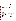making the  $K_{\alpha}$ -line analysis the preferred choice for quantitation purposes. Unlike the K-lines, the L-lines  $(L_{\alpha} \text{ and } L_{\beta})$  for an analyte are of nearly equal intensity. The choice of which one to use for analysis depends on the presence of interfering lines from other analytes.



**Figure 4-1. Principle of Source Excited X-ray Fluorescence:** This figure illustrates the dynamics of source excited X-ray fluorescence.

An X-ray source can excite characteristic X-rays from an analyte only if its energy is greater than the electron binding energies of the target analyte. The electron binding energy, also known as the absorption edge energy, represents the amount of energy an electron has to absorb before it is displaced. The absorption edge energy is somewhat greater than the corresponding line energy. Actually, the K-absorption edge energy is approximately the sum of the K-, L-, and M-line energies of the particular element, and the L- absorption edge energy is approximately the sum of the L- and M-line energies. FPXRF analytical methods are more sensitive to analytes with absorption edge energies close to, but less than, the excitation energy of the source. For example, when using a  $Cd^{109}$  source, which has an excitation energy of 22.1 kiloelectron volts (keV), an FPXRF analyzer would be more sensitive to zirconium, which has a K-line absorption edge energy of 15.7 keV, than to chromium, which has a K-line absorption edge energy of 5.41 keV.

### **Background**

The MAP Spectrum Analyzer was originally developed by Scitec to detect lead in paint using a cobalt-57 ( $Co<sup>57</sup>$ ) excitation source. It is a lightweight, portable technology that collects *in situ* readings by placing the scanner in direct contact with the surface to be measured. Scitec currently markets the MAP Spectrum Analyzer as capable of detecting lead as well as other metals in soil, when equipped with a Cd<sup>109</sup> source. The analyzer uses energy dispersive XRF spectroscopy to determine elemental composition of paint, soil, and other solid materials. The specific analyzer demonstrated during this evaluation was a third generation analyzer known as the MAP 3 Spectrum Analyzer. Since this demonstration was completed, Scitec has produced a fourth generation analyzer known as the MAP 4 Spectrum Analyzer.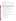# **Operational Characteristics**

This section discusses equipment and accessories, operation of the analyzer in the field, description of the operator, training, reliability of the analyzer, health and safety concerns, and representative operating costs.

# *Equipment and Accessories*

The primary components of the MAP Spectrum Analyzer are the control console and the ambient scanner. The control console is connected to the ambient scanner with a 10-foot cable. The basic system also includes a carry pack, rechargeable batteries, battery charger, operator's manual, site-specific standard, and a shipping case. For this demonstration, the scanner, control console, battery charger, and cords were contained in a carrying case. Additional equipment, such as the calibration check standards and spare batteries, did not fit in the carrying case and were shipped in a separate box. Specifications for the MAP Spectrum Analyzer used during this demonstration are provided in Table 4-1.

The equipment used in the demonstration included:

- One MAP 3 control console calibrated to detect arsenic, lead, copper, and zinc
- One MAP 3 scanner including a 55 millicuries (mCi)  $Cd^{109}$  sealed source
- Six 12-volt direct current (DC) lead-gel batteries (the console requires two batteries leaving two sets of two as spares)
- Two battery chargers
- One clip adapter for charging two batteries outside the console
- Two 10-foot cables for attaching the scanner to the console (one for use and one spare)
- One cable for connecting the console to a personal computer (PC)
- One computer port adapter
- AcuTransfer software
- One ring stand with clamps (the ring stand was used to hold the scanner in place to allow the calibration check standards to be assayed and to hold the scanner on slopes in the field)
- Three calibration check standards in 4-ounce jars
- One painted wooden block check standard
- One carrying case
- Plastic wrap used to cover the face of the scanner
- One portable computer and printer supplied by PRC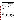| <b>Characteristic</b>                                                                                             | <b>Specification</b>                                                              |
|-------------------------------------------------------------------------------------------------------------------|-----------------------------------------------------------------------------------|
| Resolution                                                                                                        | 1.5 keV (Manganese- $K_{\alpha}$ )                                                |
| Source                                                                                                            | 55 mCi Cd <sup>109</sup> (Am $^{241}$ and Co <sup>57</sup> also available)        |
| Detector                                                                                                          | Solid-state silicon                                                               |
| Scanner Size                                                                                                      | 33.7 cm long                                                                      |
| Scanner Weight                                                                                                    | 1.6 kilograms (kg) (3.5 pounds)                                                   |
| <b>Scanner Operating Temperature</b>                                                                              | -6 to 43 $^{\circ}$ C                                                             |
| <b>Control Console Size</b>                                                                                       | 19.3 cm x 20 cm x 7.6 cm                                                          |
| <b>Control Console Weight</b>                                                                                     | 5 kg with batteries (11 pounds)                                                   |
| <b>Control Console Operating Temperature</b>                                                                      | -6 to 43 $^{\circ}$ C                                                             |
| <b>Control Console Data Acquisition</b>                                                                           | <b>256 MCA</b>                                                                    |
| Control Console Data Storage Capacity                                                                             | 1 megabyte or 325 spectra and analyses                                            |
| Power Source                                                                                                      | 120-volt or 220-volt alternating current, or 12-volt DC<br>rechargeable batteries |
| <b>Operational Checks</b>                                                                                         | Calibration check sample once per hour                                            |
| Contact: Bill Boyce or Kevin Dorow<br>415 N. Quay<br>Kennewick, WA 99336<br>(800) 466-5323<br>FAX: (509) 735-9696 |                                                                                   |

**Table 4-1. Analyzer Instrument Specifications** 

The control console is a 256-multichannel analyzer (MCA) contained in a high-impact plastic case. It has a liquid crystal display (LCD) that can provide readouts of operation menus, measurement values, calibration menus, count rates, time clock, analysis identification numbers, and a graphic spectrum display. The keyboard is weatherproof and has a 14-key keypad. The two lead-gel type batteries necessary to supply power to the control console are capable of 10 hours of continuous use without recharging. Each lead-gel battery has an approximate useful life of 12 - 18 months or 150 recharges. The operator noted during this demonstration that the battery life ranged from 6.3 hours to 8.9 hours with an average of 7.7 hours. The control console also has an output port for downloading data to a PC with the use of the AcuTransfer software.

The ambient scanner is shaped like a pistol and contains the excitation source and the solid-state silicon detector. It has a 0.5-mm-thick beryllium window and a 0.5-mm-thick aluminum front face plate. The source shutter is constructed of tungsten and is designed to house one of three sources: cobalt-57  $(Co^{57})$ , cadmium-109 ( $Cd^{109}$ ), or americium-241 ( $Am^{241}$ ). The  $Cd^{109}$  source was used in this demonstration. The Cd<sup>109</sup> source was assayed as 55 mCi on September 24, 1993. Based on a half life of 462 days, the source was 24 mCi at the beginning of the demonstration and was 23 mCi at the end. The ambient scanner contained a solid-state silicon detector with a resolution of 1.5 keV at the  $K_{\alpha}$  manganese line. It has a Breech-lok™ connector that connects the scanner to the control console via a 10-foot cable.

Other equipment and supplies that are helpful when using the MAP Spectrum Analyzer, but are not supplied by the developer, include paper towels, protective gloves, a marking pen, an umbrella to shield the control console and scanner from rain, and lead foil to shield the operator from radiation during the calibration checks.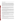# *Operation of the Analyzer*

Analysis with the MAP Spectrum Analyzer requires placing the scanner in direct contact with the sampling medium and opening the shutter with a key. The shutter exposes the sample to X-rays from the radioisotope source. Emission X-rays are then counted (measured) over an operator-specified period of time (source exposure time) by a counting circuit. This data is recorded by the MCA and produces a spectrum characteristic of the metals in the sample. The intensities for each target analyte are calculated by software deconvolution of the characteristic spectra and converted to concentration values by means of a calibration model. This model is derived empirically by measuring the intensities of the target analytes in a set of calibration standards and fitting a linear function that relates these values to concentration by a multiple regression procedure. The MAP Spectrum Analyzer measures a surface area of about 20 mm in diameter.

An empirical calibration of the MAP Spectrum Analyzer was performed by the developer prior to the demonstration using the predemonstration soil samples as site-specific calibration standards (SSCS). Calibration involved measuring the SSCSs and incorporating the data from the resultant spectra into a mathematical function. This function, which is a component of proprietary software, is used to calculate concentrations of the target analytes in the field samples.

Scitec states that to minimize enhancement or adsorption and spectral interference errors, calibration standards should be collected from the specific site in question. The SSCSs should closely match the matrix of the routine samples. Scitec recommends that characterization of the SSCSs be done by using a total digestion procedure, rather than a partial extraction because X-ray fluorescence is most closely related to a total extraction or digestion-type analysis. However, for this demonstration, the concentration of analytes in the SSCSs was determined using EPA SW-846 Methods 3050A/6010A because these were the methods used for the reference method analyses.

The *in situ* analysis with the MAP Spectrum Analyzer does not require that a sample be physically removed from the ground. The probe is placed on the ground and the analysis mode is activated by turning on a key. Acquisition time can be preset at any desired length: "Screen," "Test," or "Confirm" is the most common. The measurement times for the three options are 15 seconds, 60 seconds, and 240 seconds, respectively. In this demonstration, the "confirm" assay with a 240-second count time was used. These times are automatically corrected to account for the age of the source. Scitec points out that the precision of the analysis will improve as the measurement time increases.

The operator found the MAP Spectrum Analyzer easy to use. The console has only 14 keys and prompts the operator through the steps necessary to conduct each assay. The scanner and console are relatively lightweight. The console is usually equipped with a shoulder strap to keep the hands free to operate the scanner.

To operate the MAP Spectrum Analyzer, the operator set the console and scanner on the ground which allowed hands-free operation. On slopes, the operator either stabilized the scanner by securing the cord uphill or locking the scanner in the ring stand. The operator was able to maintain hands-free operation for all samples except two, which were on very steep slopes.

The console produced readings in ppm on the LCD for arsenic, lead, copper, and zinc. The readings appeared about 10 seconds after completing each assay and were automatically stored when the next assay was started. The MAP Spectrum Analyzer was operated by battery power while used outdoors, but it was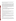connected to a battery charger while analyzing samples indoors. Downloading and printing data was accomplished using the AcuTransfer software provided. Downloading and printing required just a few keystrokes on the console and computer keyboard.

QC procedures for the MAP Spectrum Analyzer included a calibration check sample. The calibration check sample was used to assess the accuracy of the technology. The calibration check was analyzed by placing the scanner in a specially built wooden jig with the scanner pointing up. A 4-ounce sample jar covered with a plastic wrap was then placed upside down over the source and scanner. The sample jar was filled with a soil sample collected during the predemonstration that was provided to Scitec. Scitec instructed the operator to conduct five confirmatory assays of the calibration check standard each morning and then one each hour during each day in the field. The five results each morning were averaged and compared to the average values determined in the factory calibration check performed by Scitec on this same soil sample. Scitec said that if the values differed by more than 250 ppm, the operator should contact the company. The operator found conducting calibration checks to also be relatively easy.

# *Background of the Technology Operator*

The operator was an environmental scientist with more than 9 years experience in the environmental field. He earned a Master of Science degree from the University of Tulsa in 1986. He had worked at PRC for more than 3 years prior to the demonstration. While at PRC, he has managed and worked on many projects involving solid and hazardous waste and risk assessments.

#### *Training*

Training for safety and operation of the MAP Spectrum Analyzer was conducted by Scitec. The operator attended radiation safety training in St. Louis, Missouri, on December 15, 1994, and attended training on the operation of the MAP Spectrum Analyzer on April 3 and 4, 1995.

Radiation safety training was conducted at the AC Lead Testing and Training Center in St. Louis, Missouri. The training was adequate to address the level of exposure expected from the MAP Spectrum Analyzer. The operator received a certificate for the course.

The operator attended training to operate the MAP Spectrum Analyzer on April 3 and 4, 1995. This training was conducted at the Scitec facility in Kennewick, Washington. Mr. Kevin Dorow of Scitec conducted the training, which was sufficient to allow operation of the instrument under the conditions expected during the demonstration.

The training included a description of the calibration procedure and a hands-on demonstration of the process. The discussion of the AcuTransfer software included an extended session in the collection and downloading of data. The second day of training was dedicated to field use where a number of analyses were conducted and data were collected, as would be expected during the demonstration.

#### *Reliability*

Overall, 1,025 assays were conducted during this demonstration. This included 630 soil sample assays, 240 precision measurements, 145 calibration check assays, 3 PE sample assays, 2 SRM assays, and 5 blank assays. During the demonstration, there was frequent light to moderate rain while the FPXRF analyzers were performing the *in situ* measurements. The temperatures fluctuated between 5 and 16 °C at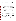US EPA ARCHIVE DOCUMENT

the ASARCO site and 6 and 22  $^{\circ}$ C at the RV Hopkins site. Despite the less than ideal weather conditions, no mechanical problems were experienced with the MAP Spectrum Analyzer. The only maintenance necessary was to periodically wipe the plastic covering on the face of the scanner or replace the plastic if it became too dirty to clean. The operator did encounter a few problems with the MAP Spectrum Analyzer that are discussed below.

After the third day of operation, the console "locked up" while the operator was reviewing data. The console would not come out of the "recall" mode. When this happened, the operator turned off the console, re-entered the data, and started the next assay. This appeared to correct the problem, no data were lost and the unit functioned normally for the remainder of the demonstration.

The operator experienced problems when downloading data on four occasions during the demonstration. On two attempts, the computer indicated data errors were detected. Both errors were solved by reinitiation of the download sequence. The third downloading problem was a failure to download all assay data without an indication of a problem on the computer screen. This could have been a significant problem resulting in lost data except that the MAP Spectrum Analyzer console did not return to the main menu as it should have. When the operator observed that the console did not return to the main menu, he initialized a new download again with success.

The fourth downloading problem occurred late in the demonstration. The computer indicated data errors in the transfer of assay data as occurred before. The operator retransmitted the data with apparent success. However, when he attempted to print the assay data, the values for all four metals were zero. The operator attempted to transfer data to the computer twice more with no success. The operator then exited and re-entered the AcuTransfer software, turned off the printer and renamed the file, and attempted to download the data. Following this attempt, the computer indicated data errors were detected in the assay transfer. The operator attempted to transfer the assay data again this time with success. The source of the problem was not identified. The difficulties encountered in downloading resulted in about 40 minutes of lost time.

In the training provided by Scitec, the operator was instructed to call the manufacturer if the calibration check standard varied from the factory check by more than 250 ppm. Both lead and copper values varied by more than 250 ppm in the first set of five calibration check standards run in the demonstration. As instructed, the operator called Scitec regarding the discrepancies. Scitec thought the difference was due to heterogeneity in the calibration check standard used. Scitec told the operator to continue operating the MAP Spectrum Analyzer and that it would send other calibration check standards for the operator to run.

Data were sent two 4-ounce glass jars of ASARCO soil samples and one painted wooden block to be used as calibration check standards at the RV Hopkins site. The instructions were to use the wooden block as the primary calibration check standard. Scitec said to conduct five assays of the wooden block with the scanner placed upside down in the ring stand prior to any soil sample analysis. The developer stated that the check standard assay would be equivalent to the factory check test. The new standards meet the calibration requirements and data collection was resumed.

The most common operator error was forgetting to turn the key on the scanner to the "on" position prior to starting an assay. This occurred nine times during the evaluation. Each time this occurred, several minutes were lost restarting the test. However, the operator felt the safety considerations of the key outweighed the inconvenience of forgetting to turn the key.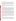The operator did not notice a low battery indication at any time during the demonstration. Each time the batteries died, the operator was in the process of running an assay. Therefore, each of those assays had to be restarted. The operator noted that if a low battery indicator had been observed, he would have changed batteries between assays to prevent the need for reanalysis. The operations manual for the MAP Spectrum Analyzer states that a "Low Batt" indicator will flash at the bottom right corner of the LCD approximately 45 minutes prior to complete battery discharge. It is possible the operator simply failed to notice the "Low Batt" indicator.

The operator observed that the MAP Spectrum Analyzer permitted identical sample numbers to be entered. In this demonstration, this feature was not a problem because the operator kept careful notes regarding sample numbers. However, if this were not the case, duplicate sample numbers could result in confusion.

# *Health and Safety*

Exposure to radiation from the excitation source was the largest health and safety consideration while using the analyzer. Radiation was monitored with a radiation survey meter. Background radiation at the two sites was between 0.006 and 0.012 millirems per hour (mrem/hr). Radiation was monitored while the probe's source was exposed (during a measurement), obtaining a worst-case scenario. The radiation was measured within 5 cm of the probe face while analyzing a sample. Radiation exposure also was monitored at a point on the probe where the operator's hand was located during analysis to provide a realistic value of operator exposure. The permissible occupational exposure in Kansas is 5,000 millirems per year, which equates to approximately 2 to 3 mrem/hr assuming constant exposure for an entire work year.

While taking *in situ* measurements in the field, a maximum radiation value of 1.2 mrem/hr at the probe face was obtained with the Cd<sup>109</sup> source exposed. The radiation values dropped off to 0.40 mrem/hr at the key and 0.05 mrem/hr at the handle of the scanner. While taking *in situ* measurements indoors with the scanner pointed down at the sample, radiation values of 4.0 to 6.0 mrem/hr at the probe face were obtained with the Cd<sup>109</sup> exposed. The radiation values dropped off to  $0.10 - 0.20$  mrem/hr at 2 feet from the probe face and were 0.07 to 0.08 mrem/hr at the scanner handle. The operator placed a lead shield and a row of bricks around the scanner while conducting the *in situ* measurements indoors. The radiation behind the lead shield and bricks was measured at 0.03 to 0.05 mrem/hr with the Cd<sup>109</sup> exposed. With the exception of the radiation values right at the probe face, all radiation values were below the permissible 2.0 mrem/hr.

A greater radiation hazard was experienced while measuring the calibration check sample. In this mode, the scanner was pointed upward with the soil sample placed on top of the scanner. The scanner was held motionless in a ring stand. While analyzing the calibration check standard, radiation values of greater than 100 mrem/hr above the scanner and 10 - 20 mrem/hr at the side of the scanner were encountered. At head height, these radiation values dropped to 0.20 mrem/hr at 1 foot from the scanner and to 0.05 mrem/hr at 3 feet from the scanner.

#### *Cost*

At the time of this demonstration, the cost of a new MAP Spectrum Analyzer standard package was \$32,000 with a Cd<sup>109</sup> source. The standard package includes the control console, the ambient scanner, a Cd<sup>109</sup> radioisotope source, auto source decay time correction, carry pack, rechargeable batteries, spectrum display software, 256-kilobyte memory, battery charger, operator's manual, shipping case, a 10-foot cable, and a lead-check standard. Periodic maintenance includes replacement and disposal of the Cd<sup>109</sup> source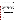every 2 years. A new Cd<sup>109</sup> source costs \$6,000 with a disposal cost of \$75. A wipe test must be performed every 6 months at a cost of \$50. A replacement  $Co<sup>57</sup>$  source costs \$3,695. The long half-life of the Am<sup>241</sup> source precludes the need for replacement. The MAP Spectrum Analyzer can be rented for \$4,675 per month plus a \$4,225 deposit.

A basic radiation safety and operator training course is offered by Scitec for \$245 per person plus travel expenses. Costs to obtain the specific license for the MAP Spectrum Analyzer also were incurred for this demonstration. It cost \$500 to obtain the license for ownership and operation of a sealed radioactive source in the State of Kansas. Since the demonstration sites were in Washington and Iowa, reciprocal agreements were required from both states to operate the instrument in those states. The reciprocal agreements cost \$585 for Washington and \$700 for Iowa. Operator training time may vary depending on the technical knowledge of the operator. Scitec claims the MAP Spectrum Analyzer can be used by individuals with no more than a high school education and a minimal amount of technical training.

The primary cost benefit of field analysis is the quick access to analytical data. This allows the process dependent on the testing to move efficiently onto the next stage. Costs associated with field analysis are very dependent on the scope of the project. Since most of the mobilization costs are fixed, analyzing a large number of samples lowers the per sample cost. This is a key advantage that field analysis has over a conventional laboratory. Furthermore, more samples are usually taken for field analysis since questions raised in the preliminary findings may be resolved completely without the need to return for another sample collection event.

A representative list of costs associated with the MAP Spectrum Analyzer is presented in Table 4-2. Also included in this table is the measured throughput and the per sample charge of the reference laboratory. Given the special requirements of this demonstration, it was not considered reasonable to report a per sample cost for the field analysis. However, some estimate can be derived from the data provided in this table.

| Item                                                                      |             | <b>Amount</b>                         |
|---------------------------------------------------------------------------|-------------|---------------------------------------|
| <b>MAP Spectrum Analyzer</b>                                              | \$32,000    | <b>Purchase Price</b>                 |
|                                                                           | 4,675       | Per Month Lease                       |
| <b>Replacement Source</b>                                                 | 6,000       | For Cd <sup>109</sup>                 |
|                                                                           | 3,695       | For Co <sup>57</sup>                  |
| <b>Operator Training (Vendor Provided)</b>                                | 245         |                                       |
| Radiation Safety License (State of Kansas)                                | 500         |                                       |
| <b>Field Operation Costs</b>                                              |             |                                       |
| Supplies and Consumables (Sample cups,<br>window film, sieves, standards) | $300 - 500$ | (Varies, depending on<br>sample load) |
| Field Chemist (Labor Charge)                                              | 100 - 150   | Per day                               |
| Per diem                                                                  | $80 - 120$  | Per day                               |
| Travel                                                                    | $200 - 500$ | Per traveler                          |
| Sample Throughput                                                         | $9 - 12$    | Samples per hour                      |
| Cost of Reference Laboratory Analysis                                     | 150         | Per sample                            |

**Table 4-2. Instrument and Field Operation Costs**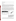# **Performance Factors**

The following paragraphs describe performance factors, including detection limits, sample throughput, and drift.

### *Detection Limits*

MDLs, using SW-846 protocols, were determined by collecting 10 replicate measurements on sitespecific soil samples with metals concentrations 2 to 5 times the expected MDL value. These data were obtained during the precision evaluation. Based on this precision data, a standard deviation was calculated and the MDLs were defined as 3 times the SD for each target analyte. All the precision-based MDLs were calculated for the measurements on the *in situ*-prepared soil samples. The precision-based MDLs for the MAP Spectrum Analyzer are shown in Table 4-3. The precision-based MDLs for all analytes were obtained using a 240-second count time for the  $Cd<sup>109</sup>$  source.

Another method of determining MDLs involved the direct comparison of the FPXRF data and the reference data. When these sets of data were plotted against each other the resultant plots were linear. As the plotted line approached zero for either method, there was a point at which the FPXRF data appeared to respond to the same reading for decreasing concentrations of the reference data. Figure 4-2 illustrates this effect for zinc. This point was determined by observation and was somewhat subjective; however, an analysis showed that even a 25 percent error in identifying this point resulted in only a 10 percent change in MDL calculation. By determining the mean values of this FPXRF data and subsequently two SDs around this mean, it was possible to determine a field or performance-based MDL for the analyzer. For the MAP Spectrum Analyzer, these field-based MDLs also are shown in Table 4-3.

| <b>Analyte</b> | <b>Precision-based</b><br><b>MDL</b> (mg/kg) | <b>Field-based</b><br><b>MDL</b> (mg/kg) |
|----------------|----------------------------------------------|------------------------------------------|
| Arsenic        | 225                                          | 150                                      |
| Copper         | 525                                          | 270                                      |
| Lead           | 165                                          | 160                                      |
| Zinc           | 25                                           | 180                                      |

### **Table 4-3. Method Detection Limits**

Note: mg/kg Milligrams per kilogram.



**Figure 4-2. Critical Zone for the Determination of a Field-based Method Detection Limit for Zinc:** At approximately 180 mg/kg, the linear relationship between the field and reference data changed. This point of change was used to determine the field-based MDLs.

The developer stated a detection limit of 250 mg/kg should be achievable for all four primary analytes. The field-based MDLs were close to or below 250 mg/kg. The precision-based MDLs showed much more variation between analytes than did the field-based MDLs. The precision-based and field-based MDLs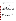were similar for arsenic and lead but different for copper and zinc. The high precision RSD for copper caused its precision-based MDL to be large. Likewise, the extremely good precision for zinc caused its precision-based MDL to be very low. Given the nature of the detector in the MAP Spectrum Analyzer and based on recommendations by the developer, the field-based MDLs for copper and zinc appear more realistic than the precision-based MDLs.

### *Throughput*

The MAP Spectrum Analyzer used a Cd<sup>109</sup> source live count time of 240 seconds. With the additional "dead" time of the detector and the time required to label each sample and store data in between sample measurements, the time required to analyze one sample was between 5 and 7 minutes. The average number of samples analyzed was 98 in an 11-hour day for a throughput of 8.9 samples per hour throughout the demonstration. The minimum number of samples analyzed was on the first day at ASARCO when 60 samples were analyzed in 9 hours for a throughput of 6.7 samples per hour. As the operator became more familiar with the analyzer, the throughput increased. The maximum number of samples analyzed was 140 in 12 hours at the ASARCO site for a throughput of 11.7 samples per hour. This throughput was achieved while analyzing the *in situ*-prepared samples indoors.

This throughput included the time necessary to analyze the QC samples, which included five assays of the calibration check, and the subsequent hourly analysis of the calibration check each day. The throughput did not include the time required for sample handling and preparation or for data downloading, printing, and documentation. Data handling required approximately 30 minutes each day. Homogenization for the *in situ*-prepared samples required approximately 5 minutes per sample.

#### *Drift*

Drift is a measurement of an analyzer's variability in quantitating a known amount of a standard over time. Drift was evaluated by reviewing results from the periodic analysis of the calibration check sample. No developer claims were made concerning drift.

The calibration check was analyzed five times each morning and once per hour each day of analysis. The drift summary is displayed for the four analytes in Figure 4-3. Each box on the figure represents the mean performance for a given analyte for a given day. The drift values were standardized by taking the mean for all calibration check sample measurements and then finding the percent difference between this overall mean and the daily mean concentration. Figure 4-3 shows that the MAP Spectrum Analyzer showed the most drift for copper and the least for zinc. These drift results mimic the reproducibility displayed by the high and low precision-based MDLs for copper and zinc, respectively. The copper drift varied from -25 to +35 percent, while the zinc drift remained between  $\pm$ 5 percent. Arsenic drift was within  $\pm 15$  percent, and the majority of the lead drift was within  $\pm 20$  percent.

# **Intramethod Assessment**

Intramethod assessment measures each analyzer's performance on characteristics such as: analyzer blanks, completeness of the data set, intramethod precision, and intramethod accuracy. The following narrative discusses these characteristics.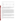

**Figure 4-3. Drift Summary:** This figure shows the general drift of the analyzer's results in measuring a check sample. Each point represents a different day's analysis of the same sample. The daily fluctuations exhibited for each analyte are a direct representation of drift.

#### *Blanks*

Analysis blanks for the MAP Spectrum Analyzer were obtained by shooting ambient air with the scanner. The blanks were used to monitor contamination of the scanner by material such as soil left on the scanner face. Four blanks were analyzed during the demonstration, one using a 240-second count time, and three using a 60-second count time. The results for all four blanks were similar. The blank values for arsenic and lead were all below their precision and field-based MDLs. The zinc blank values ranged from 176 to 179 mg/kg. These values were slightly below the field-based MDL for zinc but well above the precision-based MDL for zinc of 25 mg/kg. The blank values for copper ranged from 477 to 673 mg/kg which are above the precision and field-based copper MDLs. These copper results were surprising because the MAP Spectrum Analyzer gave copper values of 0 - 400 mg/kg for many of the soil samples, so it is not believed that cross contamination caused the high blank results for copper. It may be an artifact of using air as the blank matrix instead of a clean silica sand, which is more similar to a soil matrix.

#### *Completeness*

The MAP Spectrum Analyzer produced data for 628 out of the 630 samples for a completeness of 99.7 percent, which is above the demonstration objective of 95 percent. The two samples for which no data were obtained were from the ASARCO site. In one case the operator failed to analyze the sample. For the other sample, it appears a software malfunction in the downloading process caused the loss of data. The lack of data was not caused by a mechanical or an electronic malfunction of the analyzer.

#### *Precision*

Precision was expressed in terms of the percent RSD between replicate measurements. The precision data for the target analytes detectable by the analyzer are shown in Table 4-4. The precision data reflected in the range of 5 to 10 times the MDL reflects the precision generally referred to in analytical methods such as SW-846.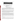| <b>Mean % RSD Values by Concentration Range</b> |                                          |                       |                          |                |  |  |  |  |
|-------------------------------------------------|------------------------------------------|-----------------------|--------------------------|----------------|--|--|--|--|
| Analyte                                         | 5 - 10 Times<br>MDL <sup>a</sup> (mg/kg) | $50 - 500$<br>(mg/kg) | $500 - 1,000$<br>(mg/kg) | >1,000 (mg/kg) |  |  |  |  |
| Arsenic                                         | 6.68(2)                                  | 31.36(4)              | 20.39(8)                 | 6.68(2)        |  |  |  |  |
| Copper                                          | 14.86 (4)                                | <b>ND</b>             | 23.48(2)                 | 14.86(4)       |  |  |  |  |
| Lead                                            | 8.54(6)                                  | 19.03(2)              | 6.71(2)                  | 6.33(10)       |  |  |  |  |
| Zinc                                            | 0.64(18)                                 | 0.77(22)              | 1.52(2)                  | ND             |  |  |  |  |

## **Table 4-4. Precision Summary**

a Notes: The MDLs referred to in this column are the precisionbased MDLs shown in Table 4-3.

mg/kg Milligrams per kilogram.

ND No data.

( ) Number of samples. Numbers do not always add up to 24 precision points because some samples had analyte concentrations below the analyzer's MDL.

The analyzer performed 10 replicate measurements on 12 soil samples that had analyte concentrations ranging from less than 50 mg/kg to tens of thousands of milligrams per kilogram. Each of the 12 soil samples underwent the two *in situ* sample preparation steps. Therefore, there was a total of 24 precision points for the analyzer. The replicate measurements were taken using the same source count times used for regular sample analysis. For each detectable analyte in each precision sample, a mean concentration, SD, and RSD were calculated.

In this demonstration, the analyzer's precision or RSD for a given analyte had to be less than or equal to 20 percent to be considered quantitative screening level data and less than or equal to 10 percent to be considered definitive level data. The analyzer's precision data, reflected by replicate determinations in the 5 to 10 times MDL range, were below the 10 percent RSD required for definitive level data quality classification for arsenic, lead, and zinc. Copper had an RSD between 10 and 20 percent, placing its precision into the quantitative screening level data quality category.

The precision data in Table 4-4 shows there was an effect of concentration on the precision for arsenic, copper, and lead. The precision samples were purposely chosen to span a large concentration range to test the effect of analyte concentration on precision. As expected, the precision increased as analyte concentration increased for arsenic, copper, and lead. The zinc precision changed little with differing zinc concentrations and did not show the same trend as the other three analytes, possibly because the zinc precision was so much better than the other three analytes that it was difficult to observe changes. There was no observable effect of sample preparation on precision. This was expected because the method used to assess precision during this demonstration was measuring analyzer precision, not total method precision.

# *Accuracy*

Accuracy refers to the degree to which a measured value for a sample agrees with a reference or true value for the same sample.

Intramethod accuracy was assessed for the MAP Spectrum Analyzer by using three site-specific PE samples and two NIST SRMs. There were 12 other SRMs and 3 other site-specific PEs included in this demonstration, but there was not enough material for these other PEs and SRMs to fill a petri dish for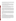*in situ* analysis by the MAP Spectrum Analyzer. Accuracy was evaluated through a comparison of percent recoveries for each target analyte reported by the analyzer. The PRC operator knew the samples were PE samples or SRMs but did not know the true concentrations or the acceptance range. These PE samples and SRMs were analyzed in the same way as all the other samples.

The three site-specific PE samples were collected at the ASARCO site during predemonstration activities and sent to six independent laboratories for analysis by laboratory-grade XRF analyzers. The mean measurement for each analyte was used as the true value concentration. The two NIST SRMs consisted of a sediment SRM (NIST 2704) and one soil SRM (NIST 2710). The two SRMs contained known certified concentrations of certain target analytes.

The site-specific PEs and SRMs did not have published acceptance ranges. As specified in the demonstration plan (PRC 1995), an acceptance range of 80 - 120 percent recovery of the true value was used to evaluate accuracy for the three site-specific PEs and the two SRMs. Table 4-5 summarizes the accuracy data for the target analytes reported by the MAP Spectrum Analyzer.

A percent recovery was not calculated for an analyte if the true concentration was at or below the MDL for that analyte. This was the case for arsenic, copper, and lead in NIST SRM 2704. Overall, for all analytes in all the PEs and SRMs, the MAP Spectrum Analyzer produced 5 out of 17 results or 29.4 percent within the 80 - 120 percent recovery acceptance range. The MAP Spectrum Analyzer showed the greatest accuracy for lead with 50 percent of the results falling in the acceptance range and one result of 75.5 percent recovery. This is not surprising since this analyzer was originally developed to analyze for lead in soil and paint. It showed the least accuracy for copper with 0 percent of the results falling within the acceptance range.

For the site-specific PEs, the MAP Spectrum Analyzer produced results biased low for arsenic and copper, especially at lower concentrations. The MAP Spectrum Analyzer did produce one false negative for lead in the low concentration site-specific PE. The results for zinc were not consistent with some measured values being low and others high. The greatest disparity for the zinc results was seen for NIST SRM 2710 with a percent recovery of only 5.5 percent. The matrix and analyte concentrations (including interferants such as iron) in this SRM were similar to the medium and high site-specific PE samples for which the zinc recoveries were much better. The poor zinc recovery for NIST SRM 2710 cannot be explained.

#### **Intermethod Assessment**

The comparison of the MAP Spectrum Analyzer's results to those of the reference method's was performed using the statistical methods detailed in Section 2. The purpose of this evaluation was to determine the comparability between data produced by the analyzer and that produced by the reference laboratory. If the  $log_{10}$  transformed FPXRF data were statistically equivalent to the  $log_{10}$  transformed reference data and had acceptable precision (10 percent RSD or less), the data met the definitive level criteria. If the data did not meet the definitive level criteria but could be mathematically corrected to be equivalent to the reference data, they met the quantitative screening level criteria. If the analyzer did not meet the quantitative level criteria, and the statistical evaluation could not identify a predictable bias in the data, but the analyzer identified the presence or absence of contamination with at least a 90 percent accuracy rate, then the data could be classified as qualitative screening level.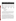|                                                         | <b>Arsenic</b>       |                |           | <b>Copper</b> |                      |              | Lead                 |                |              | <b>Zinc</b>          |                |              |
|---------------------------------------------------------|----------------------|----------------|-----------|---------------|----------------------|--------------|----------------------|----------------|--------------|----------------------|----------------|--------------|
| <b>Sample</b>                                           | <b>True</b><br>Conc. | Meas.<br>Conc. | %<br>Rec. | True<br>Conc. | <b>Meas</b><br>Conc. | $\%$<br>Rec. | <b>True</b><br>Conc. | Meas.<br>Conc. | $\%$<br>Rec. | <b>True</b><br>Conc. | Meas.<br>Conc. | $\%$<br>Rec. |
| <b>ASARCO</b><br>Low PE                                 | 419                  | 227            | 54.2      | 771           | 108                  | 14.1         | 292                  | 0              | 0.0          | 164                  | 180            | 109.8        |
| <b>ASARCO</b><br>Med. PE                                | 837                  | 497            | 59.4      | 5.408         | 2,003                | 37.0         | 1,012                | 963            | 95.2         | 378                  | 210            | 55.6         |
| <b>ASARCO</b><br>High PE                                | 22.444               | 21.275         | 94.8      | 7.132         | 4.545                | 63.7         | 9.498                | 10.049         | 105.8        | 4,205                | 4,499          | 107.0        |
| <b>NIST SRM</b><br>2704                                 | 23.4                 | 56             | <b>NA</b> | 98.6          | 49                   | <b>NA</b>    | 161                  | 0              | <b>NA</b>    | 438                  | 175            | 39.9         |
| <b>NIST SRM</b><br>2710                                 | 626                  | 799            | 127.6     | 2,950         | 3,740                | 126.8        | 5,532                | 4,175          | 75.5         | 6,952                | 386            | 5.5          |
| Mean % Recovery                                         |                      | 84.0           |           |               | 60.4                 |              |                      | 92.1           |              |                      | 63.6           |              |
| SD of % Recovery                                        |                      | 34.2           |           |               | 48.7                 |              |                      | 15.4           |              |                      | 44.7           |              |
| % Within 80 to 120 Percent<br>Recovery Acceptance Range |                      |                | 25.0      |               |                      | 0.0          |                      |                | 50.0         |                      |                | 40.0         |

**Table 4-5. Accuracy Summary of Site-Specific PE and SRM Results** 

Notes: % Rec. Percent recovery.

PE Performance evaluation sample.

SRM Standard reference material.

- NA Not applicable. Percent recovery not calculated because true concentration was below the method detection limit.
- SD Standard deviation.

For this demonstration, the MAP Spectrum Analyzer was configured to report concentrations for lead, arsenic, copper, and zinc. The regression analysis of the entire  $log_{10}$  transformed data set for these target analytes showed that lead had an  $r^2$  value of 0.85. The corresponding value for copper was 0.80, while arsenic and zinc had  $r^2$  values of 0.76 and 0.67, respectively. The arsenic and copper comparability was biased low for the whole data set. The concentrations of these analytes at the RV Hopkins site were generally at or below the analyzer's precision-based MDLs.

The next step in the data evaluation involved the assessment of the potential impact of the variables: site, soil texture, and sample preparation on the regression analysis (Table 4-6).

Based on this evaluation, there was no apparent impact of the site variable on the regression. The soil variable showed a slight decreasing trend in comparability with the sand soils exhibiting the highest comparability and the loam soils exhibiting the lowest comparability. The only exception to this soil trend was for lead. Lead met definitive data quality criteria for the clay soil's entire data set. This increased comparability for the clay soil data may be due to the origin of the lead contamination. The clay soils were only analyzed at the RV Hopkins site and the source of lead contamination at this site was primarily paint waste. The paint matrix is what this analyzer was originally designed to analyze. The slope values for the soil variable data indicated that the analyzer tended to underestimate lead and copper concentrations and overestimate zinc concentrations. The slope values were determined by plotting the FPXRF data on the xaxis (independent variable) and the reference method data on the y-axis (dependent variable). The data were plotted in this fashion to get an indication of a correction factor to be applied to the FPXRF data to get it to match the reference data.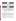|     |                | Arsenic   |         | Lead<br>Variable |                        |     |       |           |         |              |
|-----|----------------|-----------|---------|------------------|------------------------|-----|-------|-----------|---------|--------------|
| n   | r <sup>2</sup> | Std. Err. | Y-Int.  | <b>Slope</b>     |                        | n   | $r^2$ | Std. Err. | Y-Int.  | <b>Slope</b> |
| 449 | 0.763          | 0.37      | 0.62    | 0.79             | All Data               | 368 | 0.849 | 0.28      | $-0.74$ | 1.21         |
| 398 | 0.897          | 0.23      | $-0.03$ | 1.00             | <b>ASARCO Site</b>     | 210 | 0.865 | 0.28      | $-1.22$ | 1.36         |
| 55  | 0.049          | 0.64      | 1.43    | 0.73             | <b>RV Hopkins Site</b> | 158 | 0.847 | 0.24      | $-0.08$ | 1.02         |
| 181 | 0.925          | 0.23      | $-0.21$ | 1.03             | Sand Soil              | 90  | 0.914 | 0.26      | $-1.15$ | 1.33         |
| 219 | 0.871          | 0.23      | 0.13    | 0.97             | Loam Soil              | 119 | 0.798 | 0.29      | $-1.38$ | 1.42         |
| 55  | 0.049          | 0.64      | 1.43    | 0.73             | Clay Soil              | 158 | 0.847 | 0.24      | $-0.08$ | 1.02         |
| 230 | 0.624          | 0.45      | 1.02    | 0.65             | In Situ-Unprepared     | 186 | 0.770 | 0.36      | $-0.66$ | 1.19         |
| 219 | 0.900          | 0.25      | 0.20    | 0.93             | In Situ-Prepared       | 184 | 0.916 | 0.20      | $-0.90$ | 1.26         |

Table 4-6. Regression Parameters<sup>a</sup> by Primary Variable

| <b>Copper</b> |       |           |         |              | Variable               | Zinc |       |           |        |              |
|---------------|-------|-----------|---------|--------------|------------------------|------|-------|-----------|--------|--------------|
| n             | $r^2$ | Std. Err. | Y-Int.  | <b>Slope</b> |                        | n    | $r^2$ | Std. Err. | Y-Int. | <b>Slope</b> |
| 251           | 0.801 | 0.36      | $-0.71$ | 1.13         | All Data               | 613  | 0.669 | 0.20      | 1.05   | 0.59         |
| 232           | 0.851 | 0.30      | $-1.48$ | 1.34         | <b>ASARCO Site</b>     | 420  | 0.650 | 0.20      | 1.03   | 0.60         |
| 20            | 0.034 | 0.73      | 1.13    | 0.61         | <b>RV Hopkins Site</b> | 199  | 0.634 | 0.26      | 0.97   | 0.64         |
| 62            | 0.938 | 0.19      | $-2.25$ | 1.57         | Sand Soil              | 195  | 0.746 | 0.21      | 0.95   | 0.66         |
| 172           | 0.807 | 0.33      | $-1.13$ | 1.25         | Loam Soil              | 224  | 0.457 | 0.18      | 1.27   | 0.48         |
| 20            | 0.034 | 0.73      | 1.13    | 0.61         | Clay Soil              | 199  | 0.634 | 0.26      | 0.97   | 0.64         |
| 125           | 0.761 | 0.40      | $-1.00$ | 1.22         | In Situ-Unprepared     | 305  | 0.654 | 0.20      | 1.10   | 0.57         |
| 126           | 0.846 | 0.32      | $-0.50$ | 1.07         | In Situ-Prepared       | 308  | 0.673 | 0.21      | 1.01   | 0.61         |

Notes: Regression parameters based on  $log_{10}$  transformed data. Since the FPXRF data were used as the dependent variable in calculating these regression parameters, the regression data must be used to correct the FPXRF data. See Section 5.

Y-Int. Y-intercept.

Std. Err. Standard error.

n Number of data points.

The sample preparation variable exhibited the greatest impact on the regression analysis. This sample preparation effect makes sense since the homogenization step assured that the analyzer and the reference methods were analyzing essentially the same sample. The initial sample homogenization (*in situ*-prepared) improved the comparability for arsenic between the two data sets to the point that the analyzer met the definitive level criteria. The analyzer's lead and copper data met quantitative screening level quality criteria at the initial sample preparation step. The sample homogenization improved the  $r^2$  for copper to 0.85, raising it to the definitive level of data quality. Increasing sample preparation increased comparability; however, the data for zinc never met quantitative screening level quality criteria because the r 2 values for zinc remained below 0.70.

The impact of the site and soil texture variables was then assessed for each of the two sample preparation steps (Tables 4-7 and 4-8). To simplify the analysis, this evaluation was only conducted for lead which exhibited a relatively even concentration distribution between the site and soil variables. No clear effect on comparability was observed for the site variables; however, the soil variable reflected the lowest comparability for the loam soil.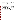Within the sample preparation steps, the effect of contaminant concentration was also examined. The data sets for the analytes were sorted into the following concentrations ranges: 0 - 100 mg/kg, 100 -1,000 mg/kg, and greater than 1,000 mg/kg. The regression analysis for each target analyte and for each sample preparation step was rerun on these concentration-sorted data sets. A review of these results showed general improvement in the  $r^2$  and standard error for each target analyte with increasing concentration. The 0 - 100 mg/kg concentration range showed the poorest comparability. This is most likely due to this range generally occurring below the analyzer's MDLs. The analyzer's precision and accuracy are lowest in this concentration range. Generally, the  $r^2$ s improved between the 100 and 1,000 mg/kg and greater than 1,000 mg/kg ranges. This data indicated that there was a concentration effect on comparability. This effect appears to be linked to the general proximity of a measurement to its associated MDL. The further away from the MDL, the less effect concentration will have on quantitation and comparability.

Another way to examine the comparability between the two methods involves measuring the average relative bias and accuracy between the FPXRF data and the reference data. The average relative bias indicates the average factor by which the two data sets differ. Concentration effects can affect bias. For example, it is possible for an analyzer to greatly underestimate low concentrations but greatly overestimate high concentrations and have a relative bias of zero. To eliminate this concentration effect, the data can be corrected by a regression approach (see Section 5), or only narrow concentration ranges can be analyzed, or average relative accuracy can be examined. The average relative accuracy is the average factor by which each individual analyzer measurement differs from the corresponding reference measurement.

A final decision regarding the assignment of data quality levels derived from this demonstration involves an assessment of both  $r^2$  and the precision RSD. Using the criteria presented in Table 2-2, a summary of the MAP Spectrum Analyzer's data quality performance in this demonstration is provided in Table 4-9.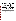| Arsenic            |       |                  |         |                     |                     |                    |                  | Lead      |         |              |
|--------------------|-------|------------------|---------|---------------------|---------------------|--------------------|------------------|-----------|---------|--------------|
| n                  | $r^2$ | Std. Err.        | Y-Int.  | <b>Slope</b>        |                     | n                  | $r^2$            | Std. Err. | Y-Int.  | <b>Slope</b> |
| In Situ-Unprepared |       |                  |         |                     | <b>Soil Texture</b> | In Situ-Unprepared |                  |           |         |              |
| 89                 | 0.895 | 0.26             | $-0.08$ | 0.98                | Sand Soil           | 46                 | 0.882            | 0.30      | $-0.86$ | 1.23         |
| 110                | 0.799 | 0.28             | 0.30    | 0.92                | Loam Soil           | 59                 | 0.731            | 0.36      | $-1.41$ | 1.42         |
| 32                 | 0.164 | 0.59             | 1.02    | 1.31                | Clay Soil           | 78                 | 0.762            | 0.27      | 0.37    | 0.89         |
|                    |       | In Situ-Prepared |         | <b>Soil Texture</b> |                     |                    | In Situ-Prepared |           |         |              |
| 92                 | 0.955 | 0.18             | $-0.34$ | 1.08                | Sand Soil           | 44                 | 0.945            | 0.21      | $-1.33$ | 1.39         |
| 111                | 0.918 | 0.18             | 0.14    | 0.96                | Loam Soil           | 57                 | 0.915            | 0.15      | $-1.24$ | 1.39         |
| 23                 | 0.009 | 0.66             | 1.64    | 0.31                | Clay Soil           | 81                 | 0.923            | 0.18      | $-0.47$ | 1.13         |

Table 4-7. Regression Parameters<sup>a</sup> for the Sample Preparation Variable Sorted by Soil **Texture** 

| <b>Copper</b>      |       |           |         |              |                     |     | <b>Zinc</b> |                    |        |              |
|--------------------|-------|-----------|---------|--------------|---------------------|-----|-------------|--------------------|--------|--------------|
| n                  | $r^2$ | Std. Err. | Y-Int.  | <b>Slope</b> |                     | n   | $r^2$       | Std. Err.          | Y-Int. | <b>Slope</b> |
| In Situ-Unprepared |       |           |         |              | <b>Soil Texture</b> |     |             | In Situ-Unprepared |        |              |
| 33                 | 0.940 | 0.20      | $-2.04$ | 1.50         | Sand Soil           | 98  | 0.743       | 0.20               | 1.03   | 0.62         |
| 89                 | 0.746 | 0.40      | $-0.86$ | 1.19         | Loam Soil           | 110 | 0.340       | 0.17               | 1.52   | 0.36         |
| 4                  | 0.868 | 0.25      | 10.78   | $-3.71$      | Clay Soil           | 93  | 0.750       | 0.17               | 1.07   | 0.60         |
| In Situ-Prepared   |       |           |         |              | <b>Soil Texture</b> |     |             | In Situ-Prepared   |        |              |
| 28                 | 0.959 | 0.13      | $-2.31$ | 1.61         | Sand Soil           | 98  | 0.738       | 0.23               | 0.87   | 0.70         |
| 82                 | 0.927 | 0.19      | $-1.48$ | 1.32         | Loam Soil           | 114 | 0.550       | 0.19               | 1.09   | 0.56         |
| 15                 | 0.161 | 0.51      | 0.29    | 0.89         | Clay Soil           |     |             |                    |        |              |

Notes: <sup>a</sup>

Regression parameters based on  $log_{10}$  transformed data. Since the FPXRF data were used as the dependent variable in calculating these regression parameters, the regression data must be used to correct the FPXRF data. See Section 5.

Y-Int. Y-intercept.

Std. Err. Standard error.

n Number of data points.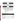## Table 4-8. Regression Parameters<sup>a</sup> for the Sample Preparation Variable Sorted by **Site Name**

| <b>Arsenic</b>     |       |                  |         |                    |                        |                    |       | Lead      |         |               |
|--------------------|-------|------------------|---------|--------------------|------------------------|--------------------|-------|-----------|---------|---------------|
| n                  | $r^2$ | Std. Err. Y-Int. |         | Slope <sup>b</sup> |                        | n                  | $r^2$ | Std. Err. |         | Y-Int. Slopeb |
| In Situ-Unprepared |       |                  |         | <b>Site Name</b>   |                        | In Situ-Unprepared |       |           |         |               |
| 195                | 0.861 | 0.27             | 0.08    | 0.97               | <b>ASARCO Site</b>     | 106                | 0.807 | 0.34      | $-1.09$ | 1.31          |
| 32                 | 0.164 | 0.59             | 1.02    | 1.31               | <b>RV Hopkins Site</b> | 78                 | 0.762 | 0.27      | 0.37    | 0.89          |
| In Situ-Prepared   |       |                  |         | <b>Site Name</b>   |                        | In Situ-Prepared   |       |           |         |               |
| 203                | 0.931 | 0.19             | $-0.12$ | 1.03               | <b>ASARCO Site</b>     | 102                | 0.931 | 0.19      | $-1.38$ | 1.43          |
| 23                 | 0.009 | 0.66             | 1.64    | 0.31               | <b>RV Hopkins Site</b> | 81                 | 0.923 | 0.18      | $-0.47$ | 1.13          |

| Copper |                    |                  |         |         |                        | Zinc               |                  |           |        |                    |
|--------|--------------------|------------------|---------|---------|------------------------|--------------------|------------------|-----------|--------|--------------------|
| n      | $r^2$              | Std. Err. Y-Int. |         | Slopeb  |                        | n                  | $r^2$            | Std. Err. | Y-Int. | Slope <sup>b</sup> |
|        | In Situ-Unprepared |                  |         |         | <b>Site Name</b>       | In Situ-Unprepared |                  |           |        |                    |
| 122    | 0.799              | 0.37             | $-1.24$ | 1.29    | <b>ASARCO Site</b>     | 209                | 0.625            | 0.20      | 1.11   | 0.56               |
| 4      | 0.868              | 0.25             | 10.78   | $-3.71$ | <b>RV Hopkins Site</b> | 93                 | 0.750            | 0.17      | 1.07   | 0.60               |
|        | In Situ-Prepared   |                  |         |         | <b>Site Name</b>       |                    | In Situ-Prepared |           |        |                    |
| 111    | 0.917              | 0.21             | $-1.57$ | 1.35    | <b>ASARCO Site</b>     | 210                | 0.678            | 0.20      | 0.96   | 0.63               |
| 15     | 0.161              | 0.51             | 0.29    | 0.89    | <b>RV Hopkins Site</b> | 99                 | 0.619            | 0.25      | 1.02   | 0.61               |

a Notes: **Regression parameters based on**  $log_{10}$  **transformed data. Since the FPXRF** data were used as the dependent variable in calculating these regression parameters, the regression data must be used to correct the FPXRF data. See

Section 5. b Slope values determined with FPXRF data plotted on the y-axis and the reference data plotted on the x-axis.

Y-Int. Y-intercept.

Std. Err. Standard error.

n Number of data points.

### **Table 4-9. Summary of Data Quality Level Parameters**

| Target<br><b>Analytes</b> | <b>MAP Spectrum</b><br><b>Analytes</b> | Precision (mg/kg)<br>Mean % RSD<br>5 - 10 X MDL | <b>Method Detection</b><br>Limits (mg/kg)<br>(Precision-based) | <b>Coefficient of</b><br><b>Determination</b><br>$(r^2$ All Data) | <b>Data Quality</b><br>Level |
|---------------------------|----------------------------------------|-------------------------------------------------|----------------------------------------------------------------|-------------------------------------------------------------------|------------------------------|
| Arsenic                   | Arsenic                                | 6.68                                            | 225                                                            | 0.763                                                             | Quantitative                 |
| <b>Barium</b>             | Not Reported                           |                                                 |                                                                |                                                                   |                              |
| Chromiu<br>m              | Not Reported                           |                                                 |                                                                |                                                                   |                              |
| Copper                    | Copper                                 | 14.86                                           | 525                                                            | 0.801                                                             | Quantitative                 |
| Lead                      | Lead                                   | 8.54                                            | 165                                                            | 0.849                                                             | Definitive                   |
| Zinc                      | Zinc                                   | 0.64                                            | 25                                                             | 0.669                                                             | Qualitative                  |
| <b>Nickel</b>             | Not Reported                           |                                                 |                                                                |                                                                   |                              |
| <b>Iron</b>               | Not Reported                           |                                                 |                                                                |                                                                   |                              |
| Cadmium                   | Not Reported                           |                                                 |                                                                |                                                                   |                              |
| Antimony                  | Not Reported                           |                                                 |                                                                |                                                                   |                              |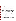# **Section 5 Applications Assessment and Considerations**

The MAP Spectrum Analyzer is designed to analyze for metals in soils, sludges, and other solids. The analyzer uses an empirical site-specific calibration and quantitation procedure to maximize its performance. This calibration accounts for common soil-related matrix interferences. This analyzer is designed for field use in the *in situ* mode. The analyzer experienced no hardware failures during this demonstration and the few software malfunctions resulted in little downtime and no lost data during the 1-month field demonstration. During this time, more than 630 samples were measured by the analyzer. The training provided by the developer was sufficient to allow basic field operation. Limited developer assistance was required to address the software problems encountered during the demonstration. The developer provided accessible and timely field support. The use of this analyzer requires specific radiation licensing, which adds some cost and training to the use of this analyzer.

Comparison of the analyzer's  $log_{10}$  transformed data to the  $log_{10}$  transformed reference data indicated that the analyzer could produce definitive level quality data for lead. This indicated that the analyzer's data were statistically equivalent to the reference data for these analytes. For arsenic and copper, the analyzer produced quantitative screening level data. In addition, this analyzer exhibited instrument precision similar to the reference methods, indicating high measurement reproducibility. The analyzer produced zinc data which met the qualitative screening level data quality criteria. A summary of key operational features is listed in Table 5-1

The analyzer's probe uses one radioactive source allowing analysis of a limited number of metals in soils. The analyzer used count times of 240 live-seconds. Longer count times generally increase accuracy and lower the detection limits but decrease sample throughput. The throughput for the analyzer was 9 - 12 samples per hour. There were no apparent effects of site or soil texture on performance for any of the analytes; however, lead data did show its highest comparability for the RV Hopkins samples, which were clay soils. This may be due to the fact that the lead in these soils was derived from paint waste, a matrix for which this instrument was originally designed. This demonstration identified sample preparation as the most important variable with regard to analyzer performance.

The analyzer can be applied only in an *in situ* mode. The data from this demonstration indicated that when operated in the *in situ*-unprepared mode, the results did not show a strong correlation between FPXRF and reference data. This may not be due to instrument error but rather to inherent spatial variability of contamination, even within an area as small as the 4-inch by 4-inch grid sampled during this demonstration. The greatest increase in correlation between the FPXRF data and reference data for the analyzer was achieved after the initial sample preparation step (sample homogenization), which defined the *in situ*-prepared sample set.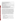#### **Table 5-1. Summary of Test Results and Operational Features**

Based on this demonstration, the analyzer is well suited for the rapid real-time assessment of metals contamination in soil samples. The ease of operation and minimal training requirements increases the probability that a first-time user will produce reliable data. Although in most cases the analyzer produced data statistically equivalent to the reference data, generally confirmatory analysis will be required or requested for FPXRF analysis. If 10 - 20 percent of the samples measured by the analyzer are submitted for reference method analysis, instrument bias relative to standard methods such as 3050A/6010A can be determined. This will only hold true if the analyzer and the reference laboratory measure similar samples. This was accomplished in this demonstration by thorough sample homogenization. Bias correction allows most FPXRF data to be corrected so that it more closely matches the reference data. The demonstration showed that the analyzer exhibits a strong  $log_{10}$ -log<sub>10</sub> linear relationship with the reference data over a concentration range of 5 orders of magnitude. A concentration effect on comparability was noted for this analyzer. Measurements near or below the analyzer's MDLs showed the poorest comparability. As concentrations rise above the MDLs, the data comparability increases. This should be taken into consideration when evaluating the usability of field- generated data. For optimum correlation and bias correction, samples with high, medium, and low concentration ranges from a project should be submitted for reference method analysis.

The steps to correct FPXRF measurements to more closely match reference data are as follows:

- 1. Conduct sampling and FPXRF analysis.
- 2. Select 10 20 percent of the sampling locations for resampling. These locations can be evenly distributed over the range of concentrations measured or they can focus on an action level concentration range.
- 3. Resample the selected locations. Thoroughly homogenize the samples and have each sample analyzed by FPXRF and a reference method.
- 4. Tabulate the resulting data with reference data in the y-axis column (dependent variable) and the FPXRF data in the x-axis column (independent variable). Transform this data to the equivalent log<sub>10</sub> value for each concentration.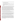- 5. Conduct a linear regression analysis and determine the  $r^2$ , y-intercept and slope of the relationship. The  $r^2$  must be greater than 0.70 to proceed.
- 6. Place the regression parameters into Equation 5-1:

 $Y(\log_{10} \text{ corrected } FPXRF \text{ data}) = slope*(\log_{10} \text{ } FPXRF \text{ data}) + Y\text{-intercept}$  (5-1)

- 7. Use the above equation with the  $log_{10}$  transformed FPXRF results from Step 4 above and calculate the equivalent  $log_{10}$  corrected FPXRF data.
- 8. Take the anti-log<sub>10</sub> (10 <sup>[log</sup><sub>10</sub> transformed corrected FPXRF data]) of the equivalent  $log_{10}$  corrected FPXRF data calculated in Step 7. These resulting values (in milligrams per kilogram) represent the corrected FPXRF data.

To show the effect of correcting the FPXRF data, the change in average relative bias and accuracy can be examined. The average relative bias between the FPXRF data and the reference data is a measure of the degree to which the FPXRF over- or underestimates concentrations relative to the reference methods. The relative bias is an average number for the entire data set and may not be representative of individual measurements. An example of this can be seen in an analyzer's data where measurements are underestimated at low concentrations but overestimated at high concentrations. On average, the relative bias for this analyzer is zero; however, this bias is not representative for high or low concentration measurements. To avoid this dilemma, three approaches can be taken: (1) the evaluation of average relative bias can be focused on a narrow concentration range, (2) the analyzer's data can be corrected using the regression approach described above, or (3) average relative accuracy can be calculated. Average relative accuracy represents the percentage that an individual measurement is different from a reference measurement. Table 5-2 shows the average relative bias and accuracy exhibited by the FPXRF, before and after data correction using the eight-step approach previously discussed.

The average relative bias and accuracy for the analytes falling into the definitive level data quality category are generally small. Alternately, analytes falling into the quantitative and qualitative screening level data quality categories generally have larger average relative bias and accuracy.

In cases where the corrected average relative accuracy is worse than the raw average relative accuracy, such as seen in Table 5-2 for arsenic, the eight-step FPXRF data correction approach presented earlier may not be appropriate. If the data set in question is representative of the entire population of data being characterized, then the raw FPXRF data merely needs to be multiplied by the raw average relative accuracy factor for correction. However, the eight-step regression base approach should be used anytime the performance of the analyzer is strongly concentration dependent or if the sample population being used for data correction is not representative of the entire data population being characterized.

The Scitec MAP Spectrum Analyzer can provide rapid assessment of the distribution of metals contamination at a hazardous waste site. This data can be used to characterize general site contamination, guide critical conventional sampling and analysis, and monitor removal actions. This demonstration suggested that in some applications and for some analytes, the FPXRF data may be statistically similar to the reference data. The development of Method 6200 will help in the acceptance of FPXRF data for all definitive level applications and most quantitative screening level applications. The FPXRF data can be produced and interpreted in the field on a daily or per sample basis. This real-time analysis allows the use of contingency-based sampling for any application and greatly increases the potential for meeting project objectives on a single mobilization.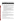| Target<br><b>Analyte</b> | Average<br><b>Relative Bias on</b><br>Raw Data <sup>a</sup> | Average<br><b>Relative Bias on</b><br>Corrected Data <sup>b</sup> | <b>Average Relative</b><br><b>Accuracy on</b><br>Raw Data <sup>c</sup> | <b>Average Relative</b><br><b>Accuracy on</b><br>Corrected Data <sup>d</sup> | Acceptable<br><b>Accuracy for</b><br>PE Samples <sup>e</sup> |
|--------------------------|-------------------------------------------------------------|-------------------------------------------------------------------|------------------------------------------------------------------------|------------------------------------------------------------------------------|--------------------------------------------------------------|
| Arsenic                  | 1.06                                                        | 1.13                                                              | 2.19                                                                   | 2.24                                                                         | 1.76                                                         |
| Copper                   | 0.71                                                        | 1.29                                                              | 1.73                                                                   | 2.41                                                                         | 1.18                                                         |
| Lead                     | 0.93                                                        | 1.06                                                              | 1.39                                                                   | 1.35                                                                         | 1.63                                                         |
| Zinc                     | 1.56                                                        | 1.23                                                              | 2.23                                                                   | 1.90                                                                         | 1.64                                                         |

### **Table 5-2. Effects of Data Correction on FPXRF Comparability to Reference Data for All In Situ-Prepared Samples**

Notes: A measurement of average relative bias, measured as a factor by which the FPXRF, on average, over- or underestimates results relative to the reference methods. This measurement of bias is based on raw (not  $log_{10}$  transformed) data. This average relative bias does not account for any concentration effect on analyzer performance.

A measurement of average relative bias on the FPXRF data after it has been corrected using the eight-step regression approach.

- c A measurement of average relative accuracy at the 95 percent confidence interval, measured as a factor by which the raw FPXRF, on average, over- or underestimates individual results relative to the reference methods. This measurement of accuracy is based on raw (not  $log<sub>10</sub>$  transformed) data. This average relative accuracy is independent of concentration effects.
- d A measurement of average relative accuracy at the 95 percent confidence interval, of the corrected FPXRF data obtained using the eight-step regression approach.
- e A measurement of accuracy represents a factor and 95 percent confidence interval that define the acceptable range of differences allowed between the reference method reported concentrations and the true value concentrations in the PE samples. This bias is included only as a general reference for assessing the improvement on comparability of FPXRF data and reference data after FPXRF data correction.

The average relative bias is calculated as follows:

Average relative bias = ( $(\sum_i$ [FPXRF<sub>i</sub>/Reference<sub>i</sub>]) / number of paired samples)-1

This value represents the percentage that the FPXRF over- or underestimates the reference data, on average, for the entire data set. To convert this calculated value to a factor, 1.0 is added to the calculated average relative bias. The above table presents the average relative bias as a factor.

The average relative accuracy is calculated as follows:

Average relative accuracy =SQRT ( $\sum_i ($ [FPXRF<sub>i</sub>/Reference<sub>i</sub>]-1)<sup>2</sup>/number of paired sample)

This value represents the percentage that an individual FPXRF measurement over- or underestimates the reference data. The relative accuracy numbers in the table are calculated at the 95 percent confidence interval. This is accomplished by adding two standard deviations to the above formula before the square root is taken. To convert this calculated value to a factor, 1.0 is added to the calculated average relative accuracy. The above table presents the average relative bias as a factor.

## **General Operational Guidance**

The following paragraphs describe general operating considerations for FPXRF analysis. This information is derived from SW-846 Method 6200 for FPXRF analysis.

General operation of FPXRF instruments will vary according to specific developer protocols. For all environmental applications, confirmatory or reference sampling should be conducted so that FPXRF data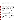can be corrected. Before operating any FPXRF instrument, the developer's manual should be consulted. Most developers recommend that their instruments be allowed to warm up for 15 - 30 minutes before analysis of samples. This will help alleviate drift or energy calibration problems.

Each FPXRF instrument should be operated according to the developer's recommendations. There are two modes in which FPXRF instruments can be operated: *in situ* and intrusive. The *in situ* mode involves analysis of an undisturbed soil or sediment sample. Intrusive analysis involves collecting and preparing a soil or sediment sample before analysis. Some FPXRF instruments can operate in both modes of analysis, while others are designed to operate in only one mode. The two modes of analysis are discussed below.

For *in situ* analysis, one requirement is that any large or nonrepresentative debris be removed from the soil surface before analysis. This debris includes rocks, pebbles, leaves, vegetation, roots, and concrete. Another requirement is that the soil surface be as smooth as possible so that the probe window will have good contact with the surface. This may require some leveling of the surface with a stainless-steel trowel. Most developers recommend that the soil be tamped down to increase soil density and compactness. This step reduces the influence of soil density variability on the results. During the demonstration, this modest amount of sample preparation was found to take less than 5 minutes per sample location. The last requirement is that the soil or sediment not be saturated with water. Developers state that their FPXRF instruments will perform adequately for soils with moisture contents of 5 - 20 percent, but will not perform well for saturated soils, especially if ponded water exists on the surface. Data from this demonstration did not see an effect on data quality from soil moisture content. Source count times for *in situ* analysis usually range from 30 to 120 seconds, but source count times will vary between instruments depending on required detection limits.

For intrusive analysis of surface soil or sediment, it is recommended that a sample be collected from a 4- by 4-inch square that is 1 inch deep. This will produce a soil sample of approximately 375 grams or 250 cm<sup>3</sup>, which is enough soil to fill an 8-ounce jar. The sample should be homogenized and may be dried and ground before analysis. The data from this demonstration indicated that sample preparation, beyond homogenization, does not greatly improve data quality. Sample homogenization can be conducted by kneading a soil sample in a plastic bag. One way to monitor homogenization is to add sodium fluorescein salt to the sample. After the sample has been homogenized, it is examined under an ultraviolet light to assess the distribution of sodium fluorescein throughout the sample. If the fluorescent dye is evenly distributed in the sample, homogenization is considered complete; if the dye is not evenly distributed, mixing should continue until the sample has been thoroughly homogenized. During the demonstration, the homogenization procedure using the fluorescein dye required 3 to 5 minutes per sample.

Once the soil or sediment sample has been homogenized, it can be dried. This can be accomplished with a toaster oven or convection oven. A small portion of the sample (20 - 50 grams) is placed in a suitable container for drying. The sample should be dried for 2 to 4 hours in the convection or toaster oven at a temperature not greater than  $150^{\circ}$ C. Microwave drying is not recommended. Field studies have shown that microwave drying can increase variability between the FPXRF data and reference data. High levels of metals in a sample can cause arcing in the microwave oven, and sometimes slag will form in the sample.

The homogenized, dried sample material can also be ground with a mortar and pestle and passed through a 60-mesh sieve to achieve a uniform particle size. Sample grinding should continue until at least 90 percent of the original sample passes through the sieve. The grinding step normally averages 10 minutes per sample.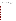After a sample is prepared, a portion of the sample should then be placed in a 31-mm polyethylene sample cup (or equivalent) for analysis. The sample cup should be completely filled. The sample cup should be covered with a 2.5-micrometer Mylar<sup>™</sup> (or equivalent) film for analysis. The rest of the soil sample should be placed in a jar, labeled, and archived. All equipment, including the mortar, pestle, and sieves, must be thoroughly cleaned so that the sample blanks are below the MDLs of the procedure.